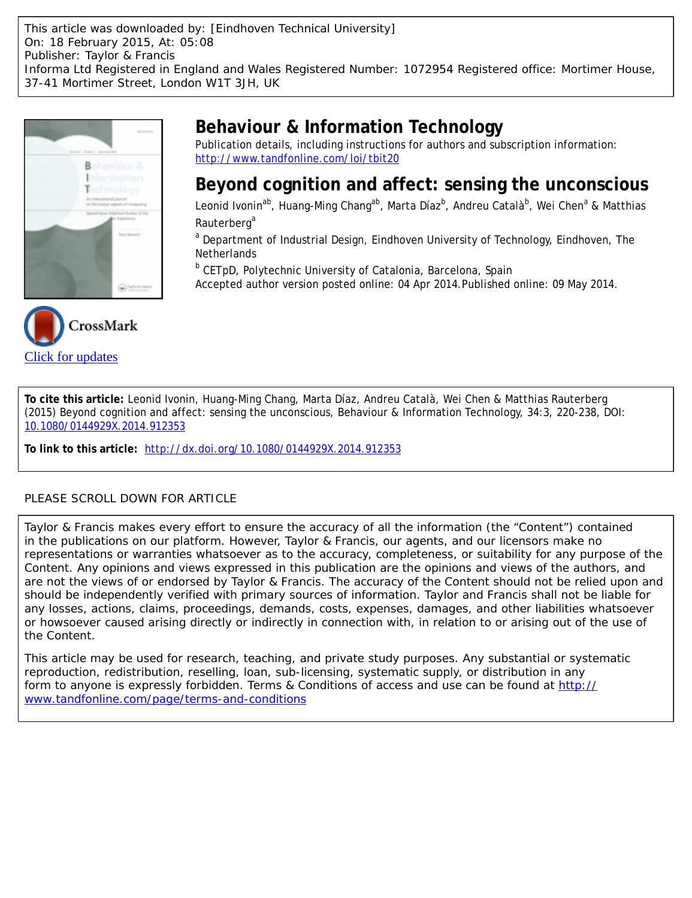This article was downloaded by: [Eindhoven Technical University] On: 18 February 2015, At: 05:08 Publisher: Taylor & Francis Informa Ltd Registered in England and Wales Registered Number: 1072954 Registered office: Mortimer House, 37-41 Mortimer Street, London W1T 3JH, UK





# **Behaviour & Information Technology**

Publication details, including instructions for authors and subscription information: <http://www.tandfonline.com/loi/tbit20>

## **Beyond cognition and affect: sensing the unconscious**

Leonid Ivonin<sup>ab</sup>, Huang-Ming Chang<sup>ab</sup>, Marta Díaz<sup>b</sup>, Andreu Català<sup>b</sup>, Wei Chen<sup>a</sup> & Matthias Rauterberg<sup>a</sup>

<sup>a</sup> Department of Industrial Design, Eindhoven University of Technology, Eindhoven, The **Netherlands** 

<sup>b</sup> CETpD, Polytechnic University of Catalonia, Barcelona, Spain

Accepted author version posted online: 04 Apr 2014.Published online: 09 May 2014.

**To cite this article:** Leonid Ivonin, Huang-Ming Chang, Marta Díaz, Andreu Català, Wei Chen & Matthias Rauterberg (2015) Beyond cognition and affect: sensing the unconscious, Behaviour & Information Technology, 34:3, 220-238, DOI: [10.1080/0144929X.2014.912353](http://www.tandfonline.com/action/showCitFormats?doi=10.1080/0144929X.2014.912353)

**To link to this article:** <http://dx.doi.org/10.1080/0144929X.2014.912353>

## PLEASE SCROLL DOWN FOR ARTICLE

Taylor & Francis makes every effort to ensure the accuracy of all the information (the "Content") contained in the publications on our platform. However, Taylor & Francis, our agents, and our licensors make no representations or warranties whatsoever as to the accuracy, completeness, or suitability for any purpose of the Content. Any opinions and views expressed in this publication are the opinions and views of the authors, and are not the views of or endorsed by Taylor & Francis. The accuracy of the Content should not be relied upon and should be independently verified with primary sources of information. Taylor and Francis shall not be liable for any losses, actions, claims, proceedings, demands, costs, expenses, damages, and other liabilities whatsoever or howsoever caused arising directly or indirectly in connection with, in relation to or arising out of the use of the Content.

This article may be used for research, teaching, and private study purposes. Any substantial or systematic reproduction, redistribution, reselling, loan, sub-licensing, systematic supply, or distribution in any form to anyone is expressly forbidden. Terms & Conditions of access and use can be found at [http://](http://www.tandfonline.com/page/terms-and-conditions) [www.tandfonline.com/page/terms-and-conditions](http://www.tandfonline.com/page/terms-and-conditions)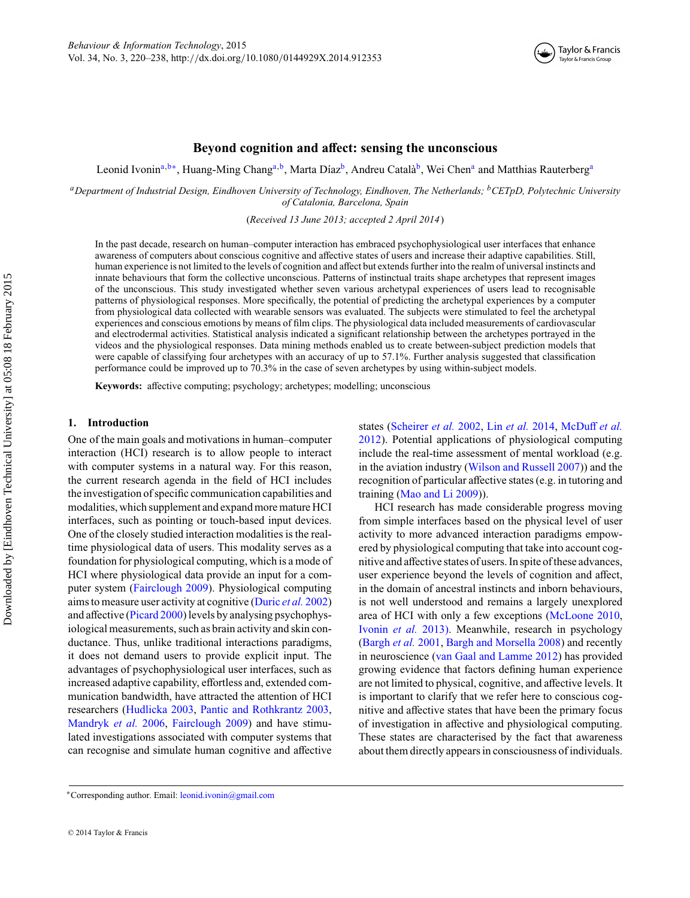

## **Beyond cognition and affect: sensing the unconscious**

Leonid Ivonin<sup>a,b∗</sup>, Huang-Ming Chang<sup>a,b</sup>, Marta Díaz<sup>b</sup>, Andreu Català<sup>b</sup>, Wei Chen<sup>a</sup> and Matthias Rauterberg<sup>a</sup>

*aDepartment of Industrial Design, Eindhoven University of Technology, Eindhoven, The Netherlands; bCETpD, Polytechnic University of Catalonia, Barcelona, Spain*

(*Received 13 June 2013; accepted 2 April 2014*)

In the past decade, research on human–computer interaction has embraced psychophysiological user interfaces that enhance awareness of computers about conscious cognitive and affective states of users and increase their adaptive capabilities. Still, human experience is not limited to the levels of cognition and affect but extends further into the realm of universal instincts and innate behaviours that form the collective unconscious. Patterns of instinctual traits shape archetypes that represent images of the unconscious. This study investigated whether seven various archetypal experiences of users lead to recognisable patterns of physiological responses. More specifically, the potential of predicting the archetypal experiences by a computer from physiological data collected with wearable sensors was evaluated. The subjects were stimulated to feel the archetypal experiences and conscious emotions by means of film clips. The physiological data included measurements of cardiovascular and electrodermal activities. Statistical analysis indicated a significant relationship between the archetypes portrayed in the videos and the physiological responses. Data mining methods enabled us to create between-subject prediction models that were capable of classifying four archetypes with an accuracy of up to 57.1%. Further analysis suggested that classification performance could be improved up to 70.3% in the case of seven archetypes by using within-subject models.

**Keywords:** affective computing; psychology; archetypes; modelling; unconscious

#### **1. Introduction**

One of the main goals and motivations in human–computer interaction (HCI) research is to allow people to interact with computer systems in a natural way. For this reason, the current research agenda in the field of HCI includes the investigation of specific communication capabilities and modalities, which supplement and expand more mature HCI interfaces, such as pointing or touch-based input devices. One of the closely studied interaction modalities is the realtime physiological data of users. This modality serves as a foundation for physiological computing, which is a mode of HCI where physiological data provide an input for a computer system [\(Fairclough 2009\)](#page-17-0). Physiological computing aims to measure user activity at cognitive [\(Duric](#page-17-0) *et al.* 2002) and affective [\(Picard 2000\)](#page-18-0) levels by analysing psychophysiological measurements, such as brain activity and skin conductance. Thus, unlike traditional interactions paradigms, it does not demand users to provide explicit input. The advantages of psychophysiological user interfaces, such as increased adaptive capability, effortless and, extended communication bandwidth, have attracted the attention of HCI researchers [\(Hudlicka 2003,](#page-17-0) [Pantic and Rothkrantz 2003,](#page-18-0) [Mandryk](#page-17-0) *et al.* 2006, [Fairclough 2009\)](#page-17-0) and have stimulated investigations associated with computer systems that can recognise and simulate human cognitive and affective

states [\(Scheirer](#page-18-0) *et al.* 2002, Lin *et al.* [2014,](#page-17-0) [McDuff](#page-17-0) *et al.* [2012\)](#page-17-0). Potential applications of physiological computing include the real-time assessment of mental workload (e.g. in the aviation industry [\(Wilson and Russell 2007\)](#page-18-0)) and the recognition of particular affective states (e.g. in tutoring and training [\(Mao and Li 2009\)](#page-17-0)).

HCI research has made considerable progress moving from simple interfaces based on the physical level of user activity to more advanced interaction paradigms empowered by physiological computing that take into account cognitive and affective states of users. In spite of these advances, user experience beyond the levels of cognition and affect, in the domain of ancestral instincts and inborn behaviours, is not well understood and remains a largely unexplored area of HCI with only a few exceptions [\(McLoone 2010,](#page-17-0) [Ivonin](#page-17-0) *et al.* 2013). Meanwhile, research in psychology [\(Bargh](#page-16-0) *et al.* 2001, [Bargh and Morsella 2008\)](#page-16-0) and recently in neuroscience [\(van Gaal and Lamme 2012\)](#page-18-0) has provided growing evidence that factors defining human experience are not limited to physical, cognitive, and affective levels. It is important to clarify that we refer here to conscious cognitive and affective states that have been the primary focus of investigation in affective and physiological computing. These states are characterised by the fact that awareness about them directly appears in consciousness of individuals.

<sup>∗</sup>Corresponding author. Email: [leonid.ivonin@gmail.com](mailto:leonid.ivonin@gmail.com)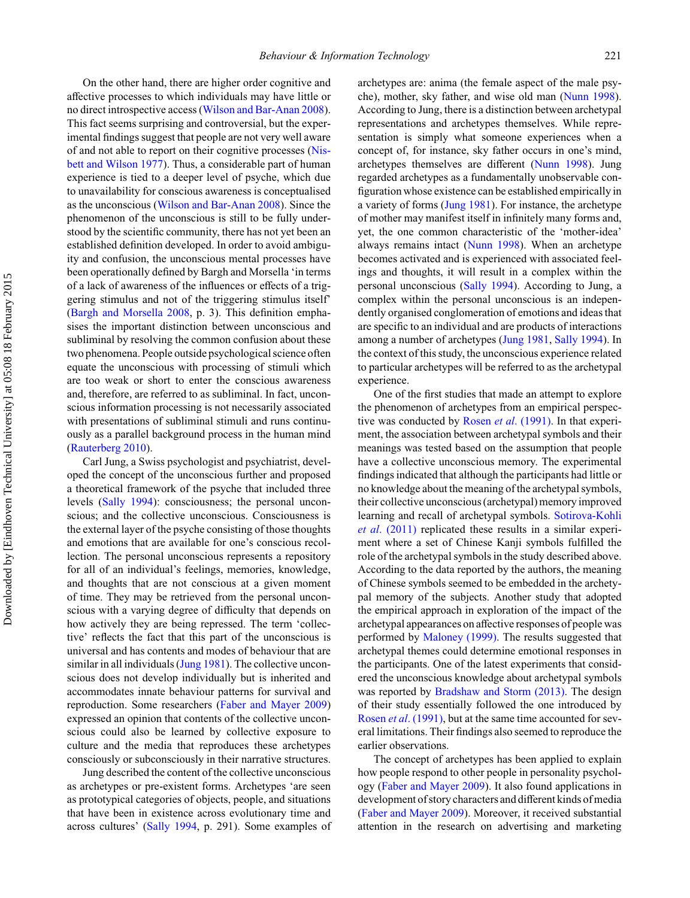On the other hand, there are higher order cognitive and affective processes to which individuals may have little or no direct introspective access [\(Wilson and Bar-Anan 2008\)](#page-18-0). This fact seems surprising and controversial, but the experimental findings suggest that people are not very well aware of and not able to report on their cognitive processes [\(Nis](#page-18-0)[bett and Wilson 1977\)](#page-18-0). Thus, a considerable part of human experience is tied to a deeper level of psyche, which due to unavailability for conscious awareness is conceptualised as the unconscious [\(Wilson and Bar-Anan 2008\)](#page-18-0). Since the phenomenon of the unconscious is still to be fully understood by the scientific community, there has not yet been an established definition developed. In order to avoid ambiguity and confusion, the unconscious mental processes have been operationally defined by Bargh and Morsella 'in terms of a lack of awareness of the influences or effects of a triggering stimulus and not of the triggering stimulus itself' [\(Bargh and Morsella 2008,](#page-16-0) p. 3). This definition emphasises the important distinction between unconscious and subliminal by resolving the common confusion about these two phenomena. People outside psychological science often equate the unconscious with processing of stimuli which are too weak or short to enter the conscious awareness and, therefore, are referred to as subliminal. In fact, unconscious information processing is not necessarily associated with presentations of subliminal stimuli and runs continuously as a parallel background process in the human mind [\(Rauterberg 2010\)](#page-18-0).

Carl Jung, a Swiss psychologist and psychiatrist, developed the concept of the unconscious further and proposed a theoretical framework of the psyche that included three levels [\(Sally 1994\)](#page-18-0): consciousness; the personal unconscious; and the collective unconscious. Consciousness is the external layer of the psyche consisting of those thoughts and emotions that are available for one's conscious recollection. The personal unconscious represents a repository for all of an individual's feelings, memories, knowledge, and thoughts that are not conscious at a given moment of time. They may be retrieved from the personal unconscious with a varying degree of difficulty that depends on how actively they are being repressed. The term 'collective' reflects the fact that this part of the unconscious is universal and has contents and modes of behaviour that are similar in all individuals [\(Jung 1981\)](#page-17-0). The collective unconscious does not develop individually but is inherited and accommodates innate behaviour patterns for survival and reproduction. Some researchers [\(Faber and Mayer 2009\)](#page-17-0) expressed an opinion that contents of the collective unconscious could also be learned by collective exposure to culture and the media that reproduces these archetypes consciously or subconsciously in their narrative structures.

Jung described the content of the collective unconscious as archetypes or pre-existent forms. Archetypes 'are seen as prototypical categories of objects, people, and situations that have been in existence across evolutionary time and across cultures' [\(Sally 1994,](#page-18-0) p. 291). Some examples of archetypes are: anima (the female aspect of the male psyche), mother, sky father, and wise old man [\(Nunn 1998\)](#page-18-0). According to Jung, there is a distinction between archetypal representations and archetypes themselves. While representation is simply what someone experiences when a concept of, for instance, sky father occurs in one's mind, archetypes themselves are different [\(Nunn 1998\)](#page-18-0). Jung regarded archetypes as a fundamentally unobservable configuration whose existence can be established empirically in a variety of forms [\(Jung 1981\)](#page-17-0). For instance, the archetype of mother may manifest itself in infinitely many forms and, yet, the one common characteristic of the 'mother-idea' always remains intact [\(Nunn 1998\)](#page-18-0). When an archetype becomes activated and is experienced with associated feelings and thoughts, it will result in a complex within the personal unconscious [\(Sally 1994\)](#page-18-0). According to Jung, a complex within the personal unconscious is an independently organised conglomeration of emotions and ideas that are specific to an individual and are products of interactions among a number of archetypes [\(Jung 1981,](#page-17-0) [Sally 1994\)](#page-18-0). In the context of this study, the unconscious experience related to particular archetypes will be referred to as the archetypal experience.

One of the first studies that made an attempt to explore the phenomenon of archetypes from an empirical perspective was conducted by Rosen *et al*[. \(1991\).](#page-18-0) In that experiment, the association between archetypal symbols and their meanings was tested based on the assumption that people have a collective unconscious memory. The experimental findings indicated that although the participants had little or no knowledge about the meaning of the archetypal symbols, their collective unconscious (archetypal) memory improved learning and recall of archetypal symbols. [Sotirova-Kohli](#page-18-0) *et al*[. \(2011\)](#page-18-0) replicated these results in a similar experiment where a set of Chinese Kanji symbols fulfilled the role of the archetypal symbols in the study described above. According to the data reported by the authors, the meaning of Chinese symbols seemed to be embedded in the archetypal memory of the subjects. Another study that adopted the empirical approach in exploration of the impact of the archetypal appearances on affective responses of people was performed by [Maloney \(1999\).](#page-17-0) The results suggested that archetypal themes could determine emotional responses in the participants. One of the latest experiments that considered the unconscious knowledge about archetypal symbols was reported by [Bradshaw and Storm \(2013\).](#page-16-0) The design of their study essentially followed the one introduced by Rosen *et al*[. \(1991\),](#page-18-0) but at the same time accounted for several limitations. Their findings also seemed to reproduce the earlier observations.

The concept of archetypes has been applied to explain how people respond to other people in personality psychology [\(Faber and Mayer 2009\)](#page-17-0). It also found applications in development of story characters and different kinds of media [\(Faber and Mayer 2009\)](#page-17-0). Moreover, it received substantial attention in the research on advertising and marketing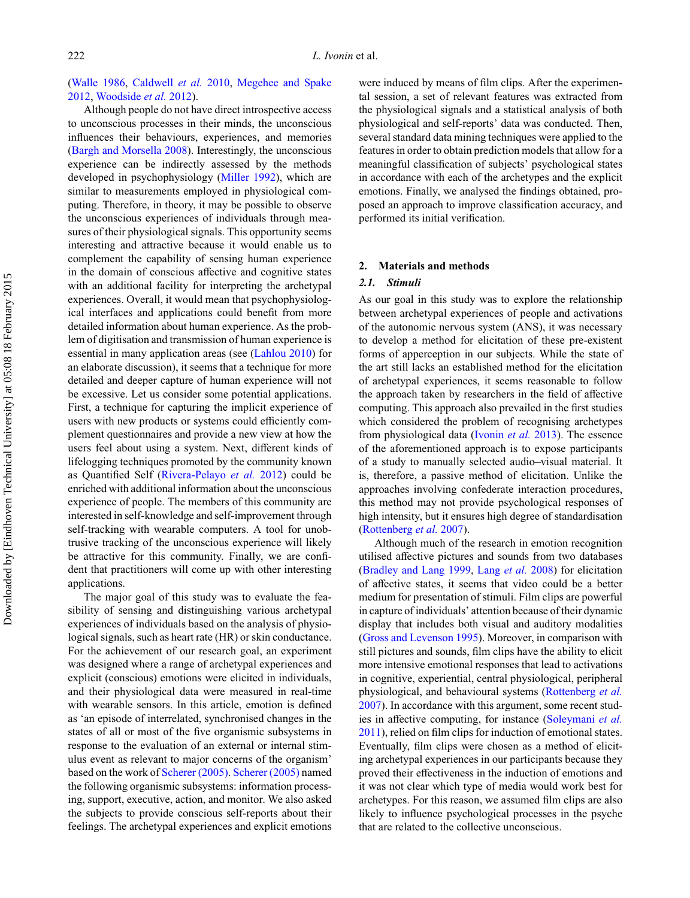[\(Walle 1986,](#page-18-0) [Caldwell](#page-17-0) *et al.* 2010, [Megehee and Spake](#page-17-0) [2012,](#page-17-0) [Woodside](#page-19-0) *et al.* 2012).

Although people do not have direct introspective access to unconscious processes in their minds, the unconscious influences their behaviours, experiences, and memories [\(Bargh and Morsella 2008\)](#page-16-0). Interestingly, the unconscious experience can be indirectly assessed by the methods developed in psychophysiology [\(Miller 1992\)](#page-18-0), which are similar to measurements employed in physiological computing. Therefore, in theory, it may be possible to observe the unconscious experiences of individuals through measures of their physiological signals. This opportunity seems interesting and attractive because it would enable us to complement the capability of sensing human experience in the domain of conscious affective and cognitive states with an additional facility for interpreting the archetypal experiences. Overall, it would mean that psychophysiological interfaces and applications could benefit from more detailed information about human experience. As the problem of digitisation and transmission of human experience is essential in many application areas (see [\(Lahlou 2010\)](#page-17-0) for an elaborate discussion), it seems that a technique for more detailed and deeper capture of human experience will not be excessive. Let us consider some potential applications. First, a technique for capturing the implicit experience of users with new products or systems could efficiently complement questionnaires and provide a new view at how the users feel about using a system. Next, different kinds of lifelogging techniques promoted by the community known as Quantified Self [\(Rivera-Pelayo](#page-18-0) *et al.* 2012) could be enriched with additional information about the unconscious experience of people. The members of this community are interested in self-knowledge and self-improvement through self-tracking with wearable computers. A tool for unobtrusive tracking of the unconscious experience will likely be attractive for this community. Finally, we are confident that practitioners will come up with other interesting applications.

The major goal of this study was to evaluate the feasibility of sensing and distinguishing various archetypal experiences of individuals based on the analysis of physiological signals, such as heart rate (HR) or skin conductance. For the achievement of our research goal, an experiment was designed where a range of archetypal experiences and explicit (conscious) emotions were elicited in individuals, and their physiological data were measured in real-time with wearable sensors. In this article, emotion is defined as 'an episode of interrelated, synchronised changes in the states of all or most of the five organismic subsystems in response to the evaluation of an external or internal stimulus event as relevant to major concerns of the organism' based on the work of [Scherer \(2005\).](#page-18-0) [Scherer \(2005\)](#page-18-0) named the following organismic subsystems: information processing, support, executive, action, and monitor. We also asked the subjects to provide conscious self-reports about their feelings. The archetypal experiences and explicit emotions

were induced by means of film clips. After the experimental session, a set of relevant features was extracted from the physiological signals and a statistical analysis of both physiological and self-reports' data was conducted. Then, several standard data mining techniques were applied to the features in order to obtain prediction models that allow for a meaningful classification of subjects' psychological states in accordance with each of the archetypes and the explicit emotions. Finally, we analysed the findings obtained, proposed an approach to improve classification accuracy, and performed its initial verification.

## **2. Materials and methods**

## *2.1. Stimuli*

As our goal in this study was to explore the relationship between archetypal experiences of people and activations of the autonomic nervous system (ANS), it was necessary to develop a method for elicitation of these pre-existent forms of apperception in our subjects. While the state of the art still lacks an established method for the elicitation of archetypal experiences, it seems reasonable to follow the approach taken by researchers in the field of affective computing. This approach also prevailed in the first studies which considered the problem of recognising archetypes from physiological data [\(Ivonin](#page-17-0) *et al.* 2013). The essence of the aforementioned approach is to expose participants of a study to manually selected audio–visual material. It is, therefore, a passive method of elicitation. Unlike the approaches involving confederate interaction procedures, this method may not provide psychological responses of high intensity, but it ensures high degree of standardisation [\(Rottenberg](#page-18-0) *et al.* 2007).

Although much of the research in emotion recognition utilised affective pictures and sounds from two databases [\(Bradley and Lang 1999,](#page-16-0) Lang *et al.* [2008\)](#page-17-0) for elicitation of affective states, it seems that video could be a better medium for presentation of stimuli. Film clips are powerful in capture of individuals' attention because of their dynamic display that includes both visual and auditory modalities [\(Gross and Levenson 1995\)](#page-17-0). Moreover, in comparison with still pictures and sounds, film clips have the ability to elicit more intensive emotional responses that lead to activations in cognitive, experiential, central physiological, peripheral physiological, and behavioural systems [\(Rottenberg](#page-18-0) *et al.* [2007\)](#page-18-0). In accordance with this argument, some recent studies in affective computing, for instance [\(Soleymani](#page-18-0) *et al.* [2011\)](#page-18-0), relied on film clips for induction of emotional states. Eventually, film clips were chosen as a method of eliciting archetypal experiences in our participants because they proved their effectiveness in the induction of emotions and it was not clear which type of media would work best for archetypes. For this reason, we assumed film clips are also likely to influence psychological processes in the psyche that are related to the collective unconscious.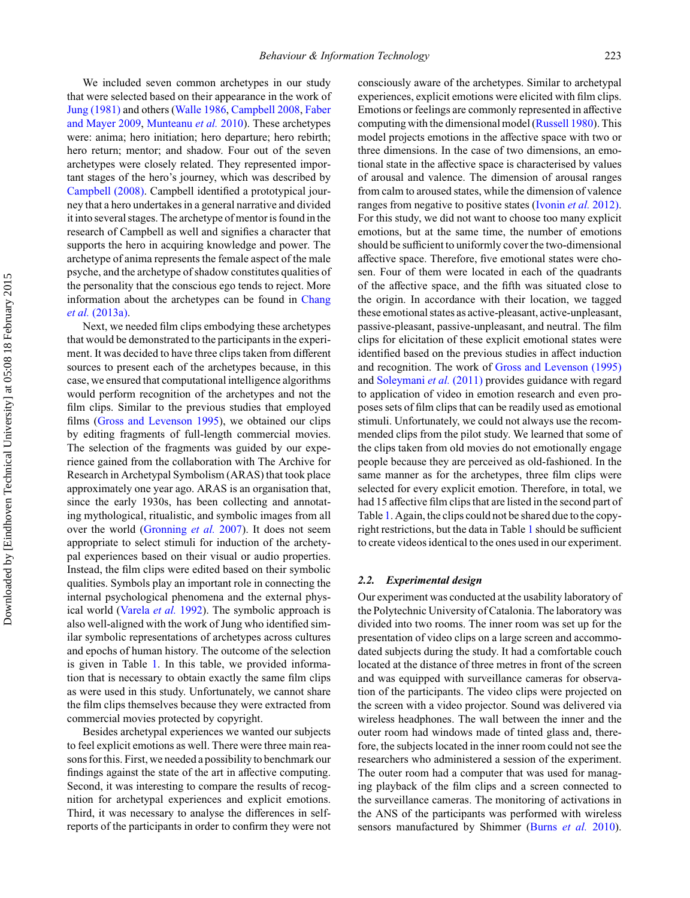We included seven common archetypes in our study that were selected based on their appearance in the work of [Jung \(1981\)](#page-17-0) and others [\(Walle 1986,](#page-18-0) [Campbell 2008,](#page-17-0) Faber and Mayer 2009, [Munteanu](#page-18-0) *et al.* [2010\).](#page-17-0) [These](#page-17-0) [arche](#page-17-0)types were: anima; hero initiation; hero departure; hero rebirth; hero return; mentor; and shadow. Four out of the seven archetypes were closely related. They represented important stages of the hero's journey, which was described by [Campbell \(2008\).](#page-17-0) Campbell identified a prototypical journey that a hero undertakes in a general narrative and divided it into several stages. The archetype of mentor is found in the research of Campbell as well and signifies a character that supports the hero in acquiring knowledge and power. The archetype of anima represents the female aspect of the male psyche, and the archetype of shadow constitutes qualities of the personality that the conscious ego tends to reject. More information about the archetypes can be found in [Chang](#page-17-0) *et al.* [\(2013a\).](#page-17-0)

Next, we needed film clips embodying these archetypes that would be demonstrated to the participants in the experiment. It was decided to have three clips taken from different sources to present each of the archetypes because, in this case, we ensured that computational intelligence algorithms would perform recognition of the archetypes and not the film clips. Similar to the previous studies that employed films [\(Gross and Levenson 1995\)](#page-17-0), we obtained our clips by editing fragments of full-length commercial movies. The selection of the fragments was guided by our experience gained from the collaboration with The Archive for Research in Archetypal Symbolism (ARAS) that took place approximately one year ago. ARAS is an organisation that, since the early 1930s, has been collecting and annotating mythological, ritualistic, and symbolic images from all over the world [\(Gronning](#page-17-0) *et al.* 2007). It does not seem appropriate to select stimuli for induction of the archetypal experiences based on their visual or audio properties. Instead, the film clips were edited based on their symbolic qualities. Symbols play an important role in connecting the internal psychological phenomena and the external physical world [\(Varela](#page-18-0) *et al.* 1992). The symbolic approach is also well-aligned with the work of Jung who identified similar symbolic representations of archetypes across cultures and epochs of human history. The outcome of the selection is given in Table [1.](#page-5-0) In this table, we provided information that is necessary to obtain exactly the same film clips as were used in this study. Unfortunately, we cannot share the film clips themselves because they were extracted from commercial movies protected by copyright.

Besides archetypal experiences we wanted our subjects to feel explicit emotions as well. There were three main reasons for this. First, we needed a possibility to benchmark our findings against the state of the art in affective computing. Second, it was interesting to compare the results of recognition for archetypal experiences and explicit emotions. Third, it was necessary to analyse the differences in selfreports of the participants in order to confirm they were not consciously aware of the archetypes. Similar to archetypal experiences, explicit emotions were elicited with film clips. Emotions or feelings are commonly represented in affective computing with the dimensional model [\(Russell 1980\)](#page-18-0). This model projects emotions in the affective space with two or three dimensions. In the case of two dimensions, an emotional state in the affective space is characterised by values of arousal and valence. The dimension of arousal ranges from calm to aroused states, while the dimension of valence ranges from negative to positive states [\(Ivonin](#page-17-0) *et al.* 2012). For this study, we did not want to choose too many explicit emotions, but at the same time, the number of emotions should be sufficient to uniformly cover the two-dimensional affective space. Therefore, five emotional states were chosen. Four of them were located in each of the quadrants of the affective space, and the fifth was situated close to the origin. In accordance with their location, we tagged these emotional states as active-pleasant, active-unpleasant, passive-pleasant, passive-unpleasant, and neutral. The film clips for elicitation of these explicit emotional states were identified based on the previous studies in affect induction and recognition. The work of [Gross and Levenson \(1995\)](#page-17-0) and [Soleymani](#page-18-0) *et al.* (2011) provides guidance with regard to application of video in emotion research and even proposes sets of film clips that can be readily used as emotional stimuli. Unfortunately, we could not always use the recommended clips from the pilot study. We learned that some of the clips taken from old movies do not emotionally engage people because they are perceived as old-fashioned. In the same manner as for the archetypes, three film clips were selected for every explicit emotion. Therefore, in total, we had 15 affective film clips that are listed in the second part of Table [1.](#page-5-0) Again, the clips could not be shared due to the copyright restrictions, but the data in Table [1](#page-5-0) should be sufficient to create videos identical to the ones used in our experiment.

## *2.2. Experimental design*

Our experiment was conducted at the usability laboratory of the Polytechnic University of Catalonia. The laboratory was divided into two rooms. The inner room was set up for the presentation of video clips on a large screen and accommodated subjects during the study. It had a comfortable couch located at the distance of three metres in front of the screen and was equipped with surveillance cameras for observation of the participants. The video clips were projected on the screen with a video projector. Sound was delivered via wireless headphones. The wall between the inner and the outer room had windows made of tinted glass and, therefore, the subjects located in the inner room could not see the researchers who administered a session of the experiment. The outer room had a computer that was used for managing playback of the film clips and a screen connected to the surveillance cameras. The monitoring of activations in the ANS of the participants was performed with wireless sensors manufactured by Shimmer [\(Burns](#page-16-0) *et al.* 2010).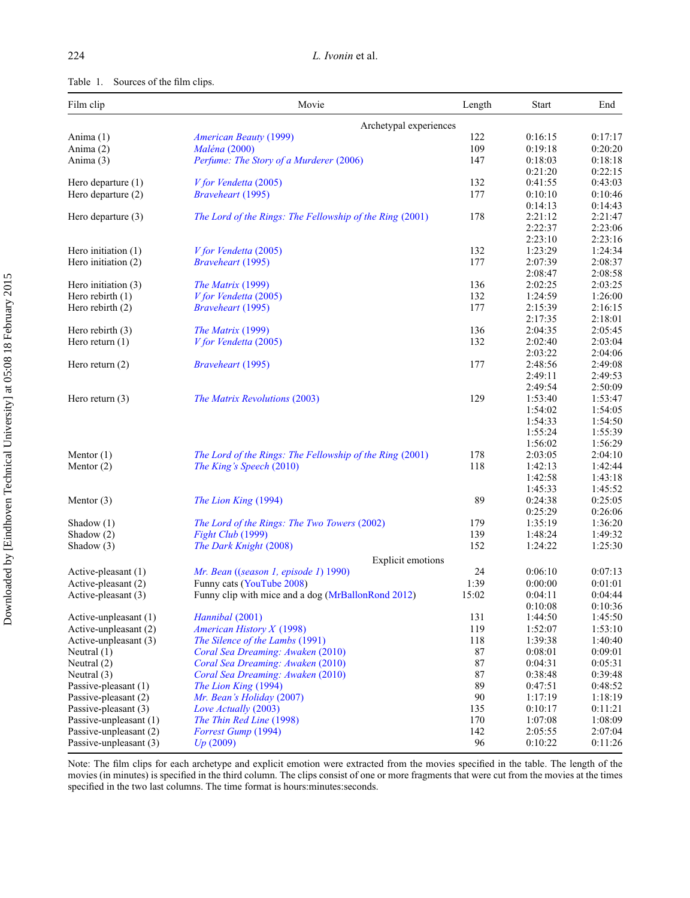<span id="page-5-0"></span>

| Film clip              | Movie                                                    | Length | <b>Start</b> | End     |
|------------------------|----------------------------------------------------------|--------|--------------|---------|
|                        | Archetypal experiences                                   |        |              |         |
| Anima (1)              | <b>American Beauty (1999)</b>                            | 122    | 0:16:15      | 0:17:17 |
| Anima $(2)$            | <i>Maléna</i> (2000)                                     | 109    | 0:19:18      | 0:20:20 |
| Anima (3)              | Perfume: The Story of a Murderer (2006)                  | 147    | 0:18:03      | 0:18:18 |
|                        |                                                          |        | 0:21:20      | 0:22:15 |
| Hero departure $(1)$   | V for Vendetta (2005)                                    | 132    | 0:41:55      | 0:43:03 |
| Hero departure (2)     | <b>Braveheart</b> (1995)                                 | 177    | 0:10:10      | 0:10:46 |
|                        |                                                          |        | 0:14:13      | 0:14:43 |
| Hero departure (3)     | The Lord of the Rings: The Fellowship of the Ring (2001) | 178    | 2:21:12      | 2:21:47 |
|                        |                                                          |        | 2:22:37      | 2:23:06 |
|                        |                                                          |        | 2:23:10      | 2:23:16 |
| Hero initiation $(1)$  | V for Vendetta (2005)                                    | 132    | 1:23:29      | 1:24:34 |
| Hero initiation (2)    | <b>Braveheart</b> (1995)                                 | 177    | 2:07:39      | 2:08:37 |
|                        |                                                          |        | 2:08:47      | 2:08:58 |
| Hero initiation $(3)$  | The Matrix (1999)                                        | 136    | 2:02:25      | 2:03:25 |
| Hero rebirth $(1)$     | V for Vendetta (2005)                                    | 132    | 1:24:59      | 1:26:00 |
| Hero rebirth $(2)$     | <b>Braveheart</b> (1995)                                 | 177    | 2:15:39      | 2:16:15 |
|                        |                                                          |        | 2:17:35      | 2:18:01 |
| Hero rebirth $(3)$     | The Matrix (1999)                                        | 136    | 2:04:35      | 2:05:45 |
| Hero return $(1)$      | V for Vendetta (2005)                                    | 132    | 2:02:40      | 2:03:04 |
|                        |                                                          |        | 2:03:22      | 2:04:06 |
| Hero return $(2)$      | <b>Braveheart</b> (1995)                                 | 177    | 2:48:56      | 2:49:08 |
|                        |                                                          |        | 2:49:11      | 2:49:53 |
|                        |                                                          |        | 2:49:54      | 2:50:09 |
| Hero return $(3)$      | The Matrix Revolutions (2003)                            | 129    | 1:53:40      | 1:53:47 |
|                        |                                                          |        | 1:54:02      | 1:54:05 |
|                        |                                                          |        | 1:54:33      | 1:54:50 |
|                        |                                                          |        | 1:55:24      | 1:55:39 |
|                        |                                                          |        | 1:56:02      | 1:56:29 |
| Mentor $(1)$           | The Lord of the Rings: The Fellowship of the Ring (2001) | 178    | 2:03:05      | 2:04:10 |
| Mentor $(2)$           | The King's Speech (2010)                                 | 118    | 1:42:13      | 1:42:44 |
|                        |                                                          |        | 1:42:58      | 1:43:18 |
|                        |                                                          |        | 1:45:33      | 1:45:52 |
| Mentor $(3)$           | The Lion King (1994)                                     | 89     | 0:24:38      | 0:25:05 |
|                        |                                                          |        | 0:25:29      | 0:26:06 |
| Shadow $(1)$           | The Lord of the Rings: The Two Towers (2002)             | 179    | 1:35:19      | 1:36:20 |
| Shadow $(2)$           | Fight Club (1999)                                        | 139    | 1:48:24      | 1:49:32 |
| Shadow (3)             | The Dark Knight (2008)                                   | 152    | 1:24:22      | 1:25:30 |
|                        | <b>Explicit emotions</b>                                 |        |              |         |
| Active-pleasant (1)    | Mr. Bean ((season 1, episode 1) 1990)                    | 24     | 0:06:10      | 0:07:13 |
| Active-pleasant (2)    | Funny cats (YouTube 2008)                                | 1:39   | 0:00:00      | 0:01:01 |
| Active-pleasant (3)    | Funny clip with mice and a dog (MrBallonRond 2012)       | 15:02  | 0:04:11      | 0:04:44 |
|                        |                                                          |        | 0:10:08      | 0:10:36 |
| Active-unpleasant (1)  | Hannibal (2001)                                          | 131    | 1:44:50      | 1:45:50 |
| Active-unpleasant (2)  | <b>American History X (1998)</b>                         | 119    | 1:52:07      | 1:53:10 |
| Active-unpleasant (3)  | The Silence of the Lambs (1991)                          | 118    | 1:39:38      | 1:40:40 |
| Neutral $(1)$          | Coral Sea Dreaming: Awaken (2010)                        | $87\,$ | 0:08:01      | 0:09:01 |
| Neutral (2)            | Coral Sea Dreaming: Awaken (2010)                        | 87     | 0:04:31      | 0:05:31 |
| Neutral (3)            | Coral Sea Dreaming: Awaken (2010)                        | 87     | 0:38:48      | 0:39:48 |
| Passive-pleasant (1)   | The Lion King (1994)                                     | 89     | 0:47:51      | 0:48:52 |
| Passive-pleasant (2)   | Mr. Bean's Holiday (2007)                                | 90     | 1:17:19      | 1:18:19 |
| Passive-pleasant (3)   | Love Actually (2003)                                     | 135    | 0:10:17      | 0:11:21 |
| Passive-unpleasant (1) | The Thin Red Line (1998)                                 | 170    | 1:07:08      | 1:08:09 |
| Passive-unpleasant (2) | Forrest Gump (1994)                                      | 142    | 2:05:55      | 2:07:04 |
| Passive-unpleasant (3) | Up(2009)                                                 | 96     | 0:10:22      | 0:11:26 |

Note: The film clips for each archetype and explicit emotion were extracted from the movies specified in the table. The length of the movies (in minutes) is specified in the third column. The clips consist of one or more fragments that were cut from the movies at the times specified in the two last columns. The time format is hours:minutes:seconds.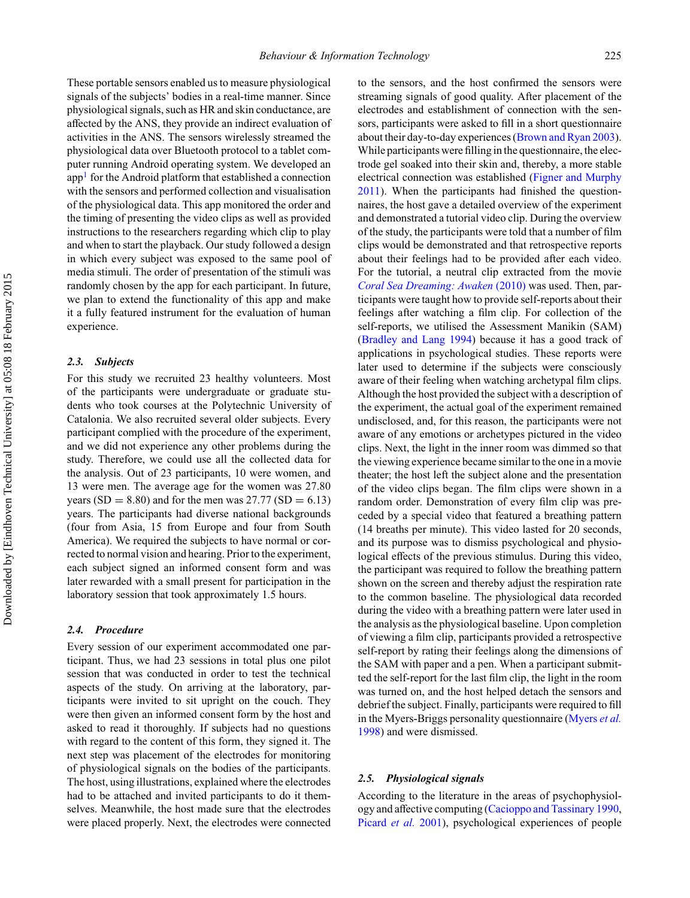These portable sensors enabled us to measure physiological signals of the subjects' bodies in a real-time manner. Since physiological signals, such as HR and skin conductance, are affected by the ANS, they provide an indirect evaluation of activities in the ANS. The sensors wirelessly streamed the physiological data over Bluetooth protocol to a tablet computer running Android operating system. We developed an  $app<sup>1</sup>$  for the Android platform that established a connection with the sensors and performed collection and visualisation of the physiological data. This app monitored the order and the timing of presenting the video clips as well as provided instructions to the researchers regarding which clip to play and when to start the playback. Our study followed a design in which every subject was exposed to the same pool of media stimuli. The order of presentation of the stimuli was randomly chosen by the app for each participant. In future, we plan to extend the functionality of this app and make it a fully featured instrument for the evaluation of human experience.

## *2.3. Subjects*

For this study we recruited 23 healthy volunteers. Most of the participants were undergraduate or graduate students who took courses at the Polytechnic University of Catalonia. We also recruited several older subjects. Every participant complied with the procedure of the experiment, and we did not experience any other problems during the study. Therefore, we could use all the collected data for the analysis. Out of 23 participants, 10 were women, and 13 were men. The average age for the women was 27.80 years (SD = 8.80) and for the men was  $27.77$  (SD = 6.13) years. The participants had diverse national backgrounds (four from Asia, 15 from Europe and four from South America). We required the subjects to have normal or corrected to normal vision and hearing. Prior to the experiment, each subject signed an informed consent form and was later rewarded with a small present for participation in the laboratory session that took approximately 1.5 hours.

## *2.4. Procedure*

Every session of our experiment accommodated one participant. Thus, we had 23 sessions in total plus one pilot session that was conducted in order to test the technical aspects of the study. On arriving at the laboratory, participants were invited to sit upright on the couch. They were then given an informed consent form by the host and asked to read it thoroughly. If subjects had no questions with regard to the content of this form, they signed it. The next step was placement of the electrodes for monitoring of physiological signals on the bodies of the participants. The host, using illustrations, explained where the electrodes had to be attached and invited participants to do it themselves. Meanwhile, the host made sure that the electrodes were placed properly. Next, the electrodes were connected

to the sensors, and the host confirmed the sensors were streaming signals of good quality. After placement of the electrodes and establishment of connection with the sensors, participants were asked to fill in a short questionnaire about their day-to-day experiences [\(Brown and Ryan 2003\)](#page-16-0). While participants were filling in the questionnaire, the electrode gel soaked into their skin and, thereby, a more stable electrical connection was established [\(Figner and Murphy](#page-17-0) [2011\)](#page-17-0). When the participants had finished the questionnaires, the host gave a detailed overview of the experiment and demonstrated a tutorial video clip. During the overview of the study, the participants were told that a number of film clips would be demonstrated and that retrospective reports about their feelings had to be provided after each video. For the tutorial, a neutral clip extracted from the movie *[Coral Sea Dreaming: Awaken](#page-17-0)* (2010) was used. Then, participants were taught how to provide self-reports about their feelings after watching a film clip. For collection of the self-reports, we utilised the Assessment Manikin (SAM) [\(Bradley and Lang 1994\)](#page-16-0) because it has a good track of applications in psychological studies. These reports were later used to determine if the subjects were consciously aware of their feeling when watching archetypal film clips. Although the host provided the subject with a description of the experiment, the actual goal of the experiment remained undisclosed, and, for this reason, the participants were not aware of any emotions or archetypes pictured in the video clips. Next, the light in the inner room was dimmed so that the viewing experience became similar to the one in a movie theater; the host left the subject alone and the presentation of the video clips began. The film clips were shown in a random order. Demonstration of every film clip was preceded by a special video that featured a breathing pattern (14 breaths per minute). This video lasted for 20 seconds, and its purpose was to dismiss psychological and physiological effects of the previous stimulus. During this video, the participant was required to follow the breathing pattern shown on the screen and thereby adjust the respiration rate to the common baseline. The physiological data recorded during the video with a breathing pattern were later used in the analysis as the physiological baseline. Upon completion of viewing a film clip, participants provided a retrospective self-report by rating their feelings along the dimensions of the SAM with paper and a pen. When a participant submitted the self-report for the last film clip, the light in the room was turned on, and the host helped detach the sensors and debrief the subject. Finally, participants were required to fill in the Myers-Briggs personality questionnaire (Myers *et al.* 1998) and were dismissed.

## *2.5. Physiological signals*

According to the literature in the areas of psychophysiology and affective computing [\(Cacioppo and Tassinary 1990,](#page-16-0) [Picard](#page-18-0) *et al.* 2001), psychological experiences of people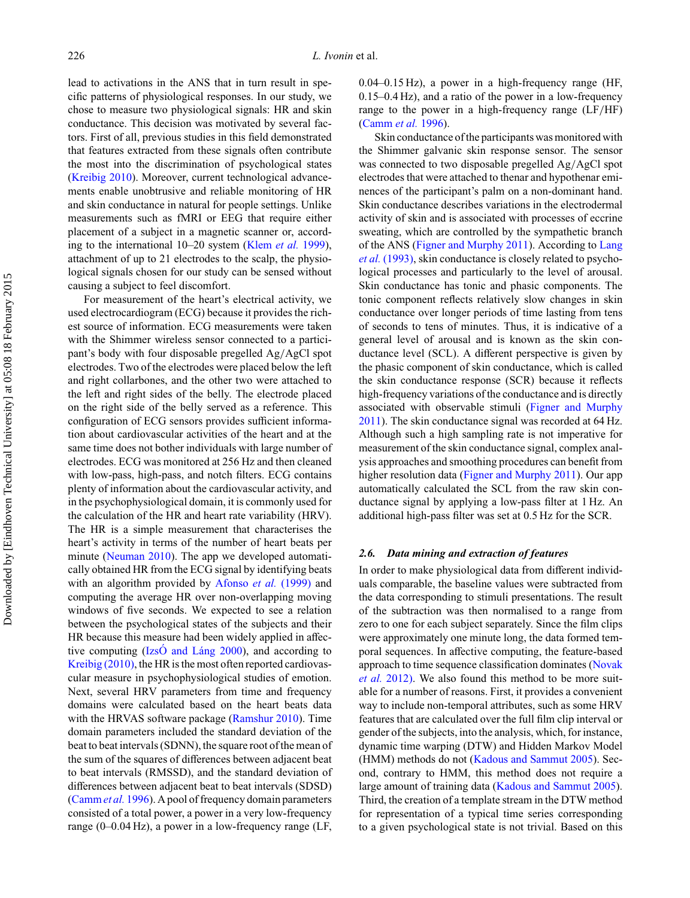lead to activations in the ANS that in turn result in specific patterns of physiological responses. In our study, we chose to measure two physiological signals: HR and skin conductance. This decision was motivated by several factors. First of all, previous studies in this field demonstrated that features extracted from these signals often contribute the most into the discrimination of psychological states [\(Kreibig 2010\)](#page-17-0). Moreover, current technological advancements enable unobtrusive and reliable monitoring of HR and skin conductance in natural for people settings. Unlike measurements such as fMRI or EEG that require either placement of a subject in a magnetic scanner or, according to the international 10–20 system [\(Klem](#page-17-0) *et al.* 1999), attachment of up to 21 electrodes to the scalp, the physiological signals chosen for our study can be sensed without causing a subject to feel discomfort.

For measurement of the heart's electrical activity, we used electrocardiogram (ECG) because it provides the richest source of information. ECG measurements were taken with the Shimmer wireless sensor connected to a participant's body with four disposable pregelled Ag*/*AgCl spot electrodes. Two of the electrodes were placed below the left and right collarbones, and the other two were attached to the left and right sides of the belly. The electrode placed on the right side of the belly served as a reference. This configuration of ECG sensors provides sufficient information about cardiovascular activities of the heart and at the same time does not bother individuals with large number of electrodes. ECG was monitored at 256 Hz and then cleaned with low-pass, high-pass, and notch filters. ECG contains plenty of information about the cardiovascular activity, and in the psychophysiological domain, it is commonly used for the calculation of the HR and heart rate variability (HRV). The HR is a simple measurement that characterises the heart's activity in terms of the number of heart beats per minute [\(Neuman 2010\)](#page-18-0). The app we developed automatically obtained HR from the ECG signal by identifying beats with an algorithm provided by [Afonso](#page-16-0) *et al.* (1999) and computing the average HR over non-overlapping moving windows of five seconds. We expected to see a relation between the psychological states of the subjects and their HR because this measure had been widely applied in affective computing (IzsO and Láng 2000), and according to [Kreibig \(2010\),](#page-17-0) the HR is the most often reported cardiovascular measure in psychophysiological studies of emotion. Next, several HRV parameters from time and frequency domains were calculated based on the heart beats data with the HRVAS software package [\(Ramshur 2010\)](#page-18-0). Time domain parameters included the standard deviation of the beat to beat intervals (SDNN), the square root of the mean of the sum of the squares of differences between adjacent beat to beat intervals (RMSSD), and the standard deviation of differences between adjacent beat to beat intervals (SDSD) [\(Camm](#page-17-0)*et al.* 1996). A pool of frequency domain parameters consisted of a total power, a power in a very low-frequency range (0–0.04 Hz), a power in a low-frequency range (LF,

0.04–0.15 Hz), a power in a high-frequency range (HF, 0.15–0.4 Hz), and a ratio of the power in a low-frequency range to the power in a high-frequency range (LF*/*HF) [\(Camm](#page-17-0) *et al.* 1996).

Skin conductance of the participants was monitored with the Shimmer galvanic skin response sensor. The sensor was connected to two disposable pregelled Ag*/*AgCl spot electrodes that were attached to thenar and hypothenar eminences of the participant's palm on a non-dominant hand. Skin conductance describes variations in the electrodermal activity of skin and is associated with processes of eccrine sweating, which are controlled by the sympathetic branch of the ANS [\(Figner and Murphy 2011\)](#page-17-0). According to [Lang](#page-17-0) *et al.* [\(1993\),](#page-17-0) skin conductance is closely related to psychological processes and particularly to the level of arousal. Skin conductance has tonic and phasic components. The tonic component reflects relatively slow changes in skin conductance over longer periods of time lasting from tens of seconds to tens of minutes. Thus, it is indicative of a general level of arousal and is known as the skin conductance level (SCL). A different perspective is given by the phasic component of skin conductance, which is called the skin conductance response (SCR) because it reflects high-frequency variations of the conductance and is directly associated with observable stimuli [\(Figner and Murphy](#page-17-0) [2011\)](#page-17-0). The skin conductance signal was recorded at 64 Hz. Although such a high sampling rate is not imperative for measurement of the skin conductance signal, complex analysis approaches and smoothing procedures can benefit from higher resolution data [\(Figner and Murphy 2011\)](#page-17-0). Our app automatically calculated the SCL from the raw skin conductance signal by applying a low-pass filter at 1 Hz. An additional high-pass filter was set at 0.5 Hz for the SCR.

#### *2.6. Data mining and extraction of features*

In order to make physiological data from different individuals comparable, the baseline values were subtracted from the data corresponding to stimuli presentations. The result of the subtraction was then normalised to a range from zero to one for each subject separately. Since the film clips were approximately one minute long, the data formed temporal sequences. In affective computing, the feature-based approach to time sequence classification dominates [\(Novak](#page-18-0) *et al.* [2012\).](#page-18-0) We also found this method to be more suitable for a number of reasons. First, it provides a convenient way to include non-temporal attributes, such as some HRV features that are calculated over the full film clip interval or gender of the subjects, into the analysis, which, for instance, dynamic time warping (DTW) and Hidden Markov Model (HMM) methods do not [\(Kadous and Sammut 2005\)](#page-17-0). Second, contrary to HMM, this method does not require a large amount of training data [\(Kadous and Sammut 2005\)](#page-17-0). Third, the creation of a template stream in the DTW method for representation of a typical time series corresponding to a given psychological state is not trivial. Based on this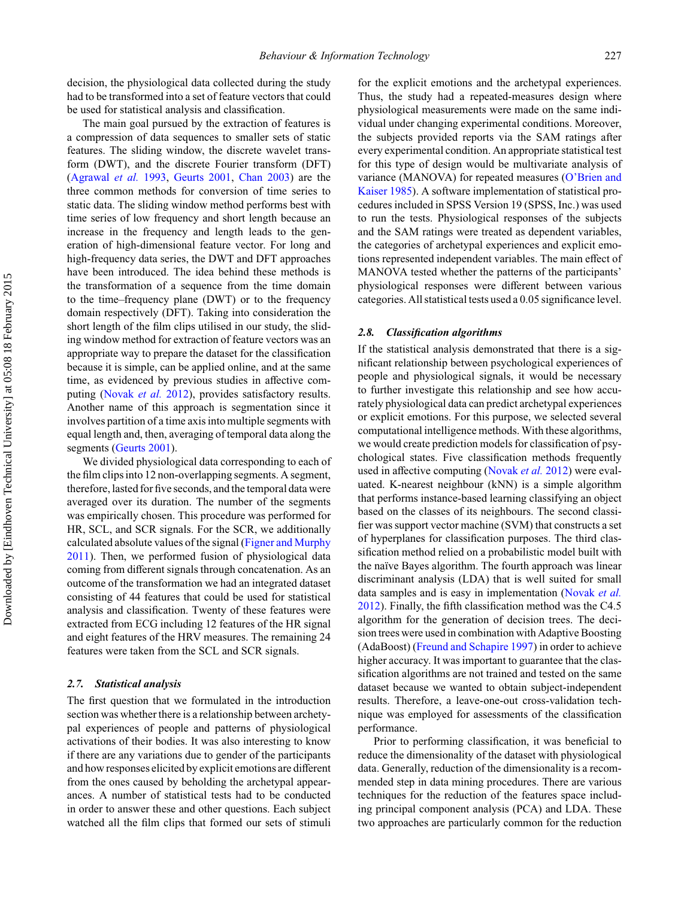decision, the physiological data collected during the study had to be transformed into a set of feature vectors that could be used for statistical analysis and classification.

The main goal pursued by the extraction of features is a compression of data sequences to smaller sets of static features. The sliding window, the discrete wavelet transform (DWT), and the discrete Fourier transform (DFT) [\(Agrawal](#page-16-0) *et al.* 1993, [Geurts 2001,](#page-17-0) [Chan 2003\)](#page-17-0) are the three common methods for conversion of time series to static data. The sliding window method performs best with time series of low frequency and short length because an increase in the frequency and length leads to the generation of high-dimensional feature vector. For long and high-frequency data series, the DWT and DFT approaches have been introduced. The idea behind these methods is the transformation of a sequence from the time domain to the time–frequency plane (DWT) or to the frequency domain respectively (DFT). Taking into consideration the short length of the film clips utilised in our study, the sliding window method for extraction of feature vectors was an appropriate way to prepare the dataset for the classification because it is simple, can be applied online, and at the same time, as evidenced by previous studies in affective computing [\(Novak](#page-18-0) *et al.* 2012), provides satisfactory results. Another name of this approach is segmentation since it involves partition of a time axis into multiple segments with equal length and, then, averaging of temporal data along the segments [\(Geurts 2001\)](#page-17-0).

We divided physiological data corresponding to each of the film clips into 12 non-overlapping segments. A segment, therefore, lasted for five seconds, and the temporal data were averaged over its duration. The number of the segments was empirically chosen. This procedure was performed for HR, SCL, and SCR signals. For the SCR, we additionally calculated absolute values of the signal (Figner and Murphy 2011). Then, we performed fusion of physiological data coming from different signals through concatenation. As an outcome of the transformation we had an integrated dataset consisting of 44 features that could be used for statistical analysis and classification. Twenty of these features were extracted from ECG including 12 features of the HR signal and eight features of the HRV measures. The remaining 24 features were taken from the SCL and SCR signals.

#### *2.7. Statistical analysis*

The first question that we formulated in the introduction section was whether there is a relationship between archetypal experiences of people and patterns of physiological activations of their bodies. It was also interesting to know if there are any variations due to gender of the participants and how responses elicited by explicit emotions are different from the ones caused by beholding the archetypal appearances. A number of statistical tests had to be conducted in order to answer these and other questions. Each subject watched all the film clips that formed our sets of stimuli

for the explicit emotions and the archetypal experiences. Thus, the study had a repeated-measures design where physiological measurements were made on the same individual under changing experimental conditions. Moreover, the subjects provided reports via the SAM ratings after every experimental condition. An appropriate statistical test for this type of design would be multivariate analysis of variance (MANOVA) for repeated measures [\(O'Brien and](#page-18-0) [Kaiser 1985\)](#page-18-0). A software implementation of statistical procedures included in SPSS Version 19 (SPSS, Inc.) was used to run the tests. Physiological responses of the subjects and the SAM ratings were treated as dependent variables, the categories of archetypal experiences and explicit emotions represented independent variables. The main effect of MANOVA tested whether the patterns of the participants' physiological responses were different between various categories. All statistical tests used a 0.05 significance level.

#### *2.8. Classification algorithms*

If the statistical analysis demonstrated that there is a significant relationship between psychological experiences of people and physiological signals, it would be necessary to further investigate this relationship and see how accurately physiological data can predict archetypal experiences or explicit emotions. For this purpose, we selected several computational intelligence methods. With these algorithms, we would create prediction models for classification of psychological states. Five classification methods frequently used in affective computing [\(Novak](#page-18-0) *et al.* 2012) were evaluated. K-nearest neighbour (kNN) is a simple algorithm that performs instance-based learning classifying an object based on the classes of its neighbours. The second classifier was support vector machine (SVM) that constructs a set of hyperplanes for classification purposes. The third classification method relied on a probabilistic model built with the naïve Bayes algorithm. The fourth approach was linear discriminant analysis (LDA) that is well suited for small data samples and is easy in implementation [\(Novak](#page-18-0) *et al.* [2012\)](#page-18-0). Finally, the fifth classification method was the C4.5 algorithm for the generation of decision trees. The decision trees were used in combination with Adaptive Boosting (AdaBoost) [\(Freund and Schapire 1997\)](#page-17-0) in order to achieve higher accuracy. It was important to guarantee that the classification algorithms are not trained and tested on the same dataset because we wanted to obtain subject-independent results. Therefore, a leave-one-out cross-validation technique was employed for assessments of the classification performance.

Prior to performing classification, it was beneficial to reduce the dimensionality of the dataset with physiological data. Generally, reduction of the dimensionality is a recommended step in data mining procedures. There are various techniques for the reduction of the features space including principal component analysis (PCA) and LDA. These two approaches are particularly common for the reduction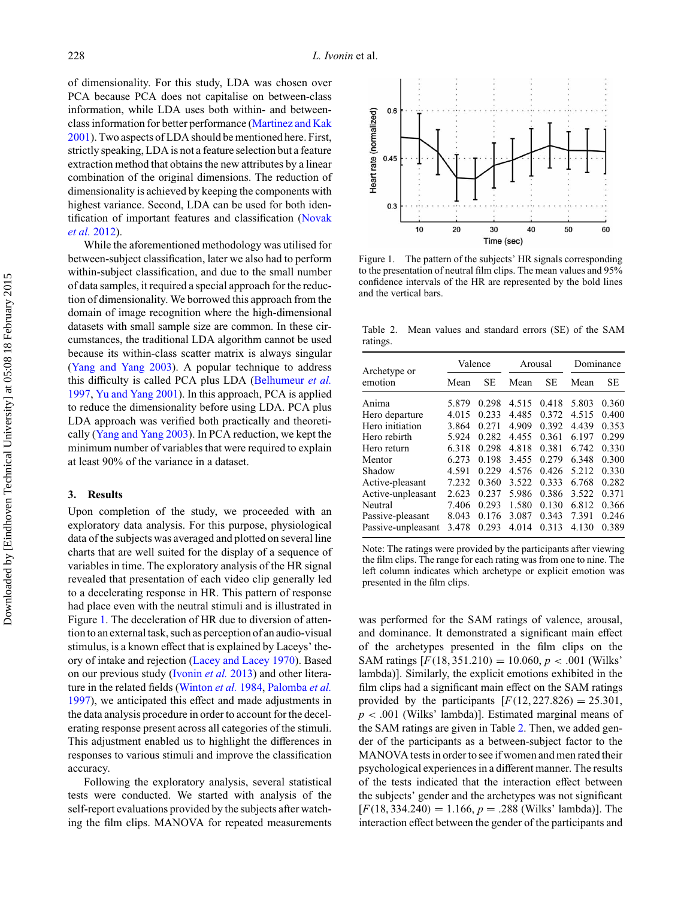of dimensionality. For this study, LDA was chosen over PCA because PCA does not capitalise on between-class information, while LDA uses both within- and betweenclass information for better performance [\(Martinez and Kak](#page-17-0) [2001\)](#page-17-0). Two aspects of LDA should be mentioned here. First, strictly speaking, LDA is not a feature selection but a feature extraction method that obtains the new attributes by a linear combination of the original dimensions. The reduction of dimensionality is achieved by keeping the components with highest variance. Second, LDA can be used for both identification of important features and classification [\(Novak](#page-18-0) *et al.* [2012\)](#page-18-0).

While the aforementioned methodology was utilised for between-subject classification, later we also had to perform within-subject classification, and due to the small number of data samples, it required a special approach for the reduction of dimensionality. We borrowed this approach from the domain of image recognition where the high-dimensional datasets with small sample size are common. In these circumstances, the traditional LDA algorithm cannot be used because its within-class scatter matrix is always singular [\(Yang and Yang 2003\)](#page-19-0). A popular technique to address this difficulty is called PCA plus LDA [\(Belhumeur](#page-16-0) *et al.* [1997,](#page-16-0) [Yu and Yang 2001\)](#page-19-0). In this approach, PCA is applied to reduce the dimensionality before using LDA. PCA plus LDA approach was verified both practically and theoretically [\(Yang and Yang 2003\)](#page-19-0). In PCA reduction, we kept the minimum number of variables that were required to explain at least 90% of the variance in a dataset.

## **3. Results**

Upon completion of the study, we proceeded with an exploratory data analysis. For this purpose, physiological data of the subjects was averaged and plotted on several line charts that are well suited for the display of a sequence of variables in time. The exploratory analysis of the HR signal revealed that presentation of each video clip generally led to a decelerating response in HR. This pattern of response had place even with the neutral stimuli and is illustrated in Figure 1. The deceleration of HR due to diversion of attention to an external task, such as perception of an audio-visual stimulus, is a known effect that is explained by Laceys' theory of intake and rejection [\(Lacey and Lacey 1970\)](#page-17-0). Based on our previous study [\(Ivonin](#page-17-0) *et al.* 2013) and other literature i[n the related fields](#page-18-0) [\(Winton](#page-19-0) *et al.* 1984, Palomba *et al.* 1997), we anticipated this effect and made adjustments in the data analysis procedure in order to account for the decelerating response present across all categories of the stimuli. This adjustment enabled us to highlight the differences in responses to various stimuli and improve the classification accuracy.

Following the exploratory analysis, several statistical tests were conducted. We started with analysis of the self-report evaluations provided by the subjects after watching the film clips. MANOVA for repeated measurements



Figure 1. The pattern of the subjects' HR signals corresponding to the presentation of neutral film clips. The mean values and 95% confidence intervals of the HR are represented by the bold lines and the vertical bars.

Table 2. Mean values and standard errors (SE) of the SAM ratings.

| Archetype or       | Valence |           | Arousal |           | Dominance |       |  |  |
|--------------------|---------|-----------|---------|-----------|-----------|-------|--|--|
| emotion            | Mean    | <b>SE</b> | Mean    | <b>SE</b> | Mean      | SЕ    |  |  |
| Anima              | 5.879   | 0.298     | 4.515   | 0.418     | 5.803     | 0.360 |  |  |
| Hero departure     | 4.015   | 0.233     | 4.485   | 0.372     | 4.515     | 0.400 |  |  |
| Hero initiation    | 3.864   | 0.271     | 4.909   | 0.392     | 4.439     | 0.353 |  |  |
| Hero rebirth       | 5.924   | 0.282     | 4.455   | 0.361     | 6.197     | 0.299 |  |  |
| Hero return        | 6.318   | 0.298     | 4.818   | 0.381     | 6.742     | 0.330 |  |  |
| Mentor             | 6.273   | 0.198     | 3.455   | 0.279     | 6.348     | 0.300 |  |  |
| Shadow             | 4.591   | 0.229     | 4.576   | 0.426     | 5.212     | 0.330 |  |  |
| Active-pleasant    | 7.232   | 0.360     | 3.522   | 0.333     | 6.768     | 0.282 |  |  |
| Active-unpleasant  | 2.623   | 0.237     | 5.986   | 0.386     | 3.522     | 0.371 |  |  |
| Neutral            | 7.406   | 0.293     | 1.580   | 0.130     | 6.812     | 0.366 |  |  |
| Passive-pleasant   | 8.043   | 0.176     | 3.087   | 0.343     | 7.391     | 0.246 |  |  |
| Passive-unpleasant | 3.478   | 0.293     | 4.014   | 0.313     | 4.130     | 0.389 |  |  |

Note: The ratings were provided by the participants after viewing the film clips. The range for each rating was from one to nine. The left column indicates which archetype or explicit emotion was presented in the film clips.

was performed for the SAM ratings of valence, arousal, and dominance. It demonstrated a significant main effect of the archetypes presented in the film clips on the SAM ratings  $[F(18, 351.210) = 10.060, p < .001$  (Wilks') lambda)]. Similarly, the explicit emotions exhibited in the film clips had a significant main effect on the SAM ratings provided by the participants  $[F(12, 227.826) = 25.301$ , *p <* .001 (Wilks' lambda)]. Estimated marginal means of the SAM ratings are given in Table 2. Then, we added gender of the participants as a between-subject factor to the MANOVA tests in order to see if women and men rated their psychological experiences in a different manner. The results of the tests indicated that the interaction effect between the subjects' gender and the archetypes was not significant  $[F(18, 334.240) = 1.166, p = .288$  (Wilks' lambda)]. The interaction effect between the gender of the participants and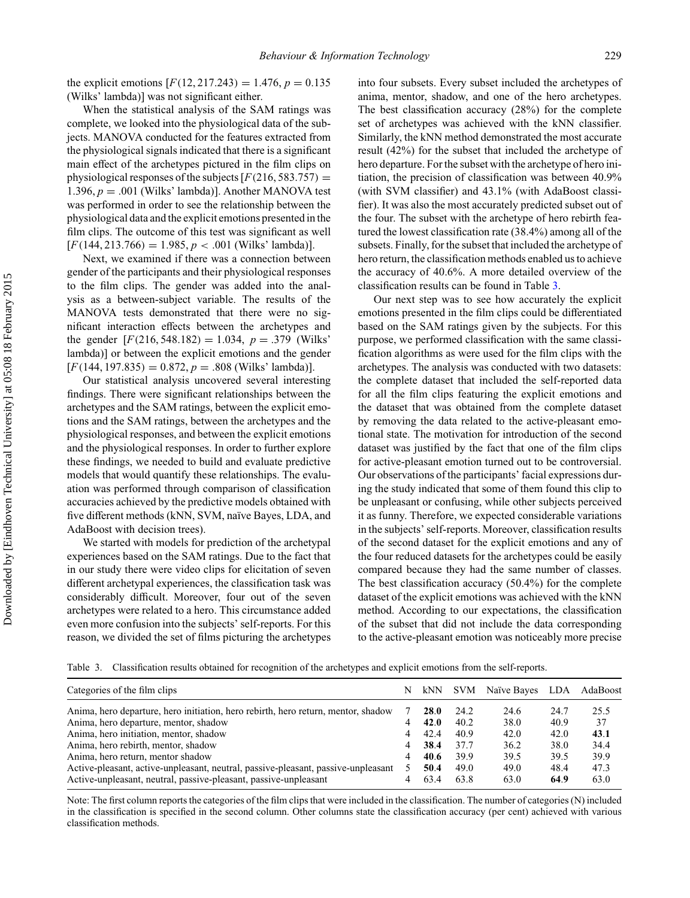<span id="page-10-0"></span>the explicit emotions  $[F(12, 217.243) = 1.476, p = 0.135$ (Wilks' lambda)] was not significant either.

When the statistical analysis of the SAM ratings was complete, we looked into the physiological data of the subjects. MANOVA conducted for the features extracted from the physiological signals indicated that there is a significant main effect of the archetypes pictured in the film clips on physiological responses of the subjects  $[F(216, 583.757) =$ 1.396,  $p = .001$  (Wilks' lambda)]. Another MANOVA test was performed in order to see the relationship between the physiological data and the explicit emotions presented in the film clips. The outcome of this test was significant as well  $[F(144, 213.766) = 1.985, p < .001$  (Wilks' lambda)].

Next, we examined if there was a connection between gender of the participants and their physiological responses to the film clips. The gender was added into the analysis as a between-subject variable. The results of the MANOVA tests demonstrated that there were no significant interaction effects between the archetypes and the gender  $[F(216, 548.182) = 1.034, p = .379$  (Wilks' lambda)] or between the explicit emotions and the gender [*F(*144, 197.835*)* = 0.872, *p* = .808 (Wilks' lambda)].

Our statistical analysis uncovered several interesting findings. There were significant relationships between the archetypes and the SAM ratings, between the explicit emotions and the SAM ratings, between the archetypes and the physiological responses, and between the explicit emotions and the physiological responses. In order to further explore these findings, we needed to build and evaluate predictive models that would quantify these relationships. The evaluation was performed through comparison of classification accuracies achieved by the predictive models obtained with five different methods (kNN, SVM, naïve Bayes, LDA, and AdaBoost with decision trees).

We started with models for prediction of the archetypal experiences based on the SAM ratings. Due to the fact that in our study there were video clips for elicitation of seven different archetypal experiences, the classification task was considerably difficult. Moreover, four out of the seven archetypes were related to a hero. This circumstance added even more confusion into the subjects' self-reports. For this reason, we divided the set of films picturing the archetypes

into four subsets. Every subset included the archetypes of anima, mentor, shadow, and one of the hero archetypes. The best classification accuracy (28%) for the complete set of archetypes was achieved with the kNN classifier. Similarly, the kNN method demonstrated the most accurate result (42%) for the subset that included the archetype of hero departure. For the subset with the archetype of hero initiation, the precision of classification was between 40.9% (with SVM classifier) and 43.1% (with AdaBoost classifier). It was also the most accurately predicted subset out of the four. The subset with the archetype of hero rebirth featured the lowest classification rate (38.4%) among all of the subsets. Finally, for the subset that included the archetype of hero return, the classification methods enabled us to achieve the accuracy of 40.6%. A more detailed overview of the classification results can be found in Table 3.

Our next step was to see how accurately the explicit emotions presented in the film clips could be differentiated based on the SAM ratings given by the subjects. For this purpose, we performed classification with the same classification algorithms as were used for the film clips with the archetypes. The analysis was conducted with two datasets: the complete dataset that included the self-reported data for all the film clips featuring the explicit emotions and the dataset that was obtained from the complete dataset by removing the data related to the active-pleasant emotional state. The motivation for introduction of the second dataset was justified by the fact that one of the film clips for active-pleasant emotion turned out to be controversial. Our observations of the participants' facial expressions during the study indicated that some of them found this clip to be unpleasant or confusing, while other subjects perceived it as funny. Therefore, we expected considerable variations in the subjects' self-reports. Moreover, classification results of the second dataset for the explicit emotions and any of the four reduced datasets for the archetypes could be easily compared because they had the same number of classes. The best classification accuracy (50.4%) for the complete dataset of the explicit emotions was achieved with the kNN method. According to our expectations, the classification of the subset that did not include the data corresponding to the active-pleasant emotion was noticeably more precise

Table 3. Classification results obtained for recognition of the archetypes and explicit emotions from the self-reports.

| Categories of the film clips                                                      |   |             |      | N kNN SVM Naïve Bayes LDA AdaBoost |      |      |
|-----------------------------------------------------------------------------------|---|-------------|------|------------------------------------|------|------|
| Anima, hero departure, hero initiation, hero rebirth, hero return, mentor, shadow |   | <b>28.0</b> | 24.2 | 24.6                               | 24.7 | 25.5 |
| Anima, hero departure, mentor, shadow                                             |   | 42.0        | 40.2 | 38.0                               | 40.9 | 37   |
| Anima, hero initiation, mentor, shadow                                            | 4 | 42.4        | 40.9 | 42.0                               | 42.0 | 43.1 |
| Anima, hero rebirth, mentor, shadow                                               | 4 | 38.4        | 37.7 | 36.2                               | 38.0 | 34.4 |
| Anima, hero return, mentor shadow                                                 |   | 40.6        | 39.9 | 39.5                               | 39.5 | 39.9 |
| Active-pleasant, active-unpleasant, neutral, passive-pleasant, passive-unpleasant |   | 50.4        | 49.0 | 49.0                               | 48.4 | 47.3 |
| Active-unpleasant, neutral, passive-pleasant, passive-unpleasant                  |   | 63.4        | 63.8 | 63.0                               | 64.9 | 63.0 |

Note: The first column reports the categories of the film clips that were included in the classification. The number of categories (N) included in the classification is specified in the second column. Other columns state the classification accuracy (per cent) achieved with various classification methods.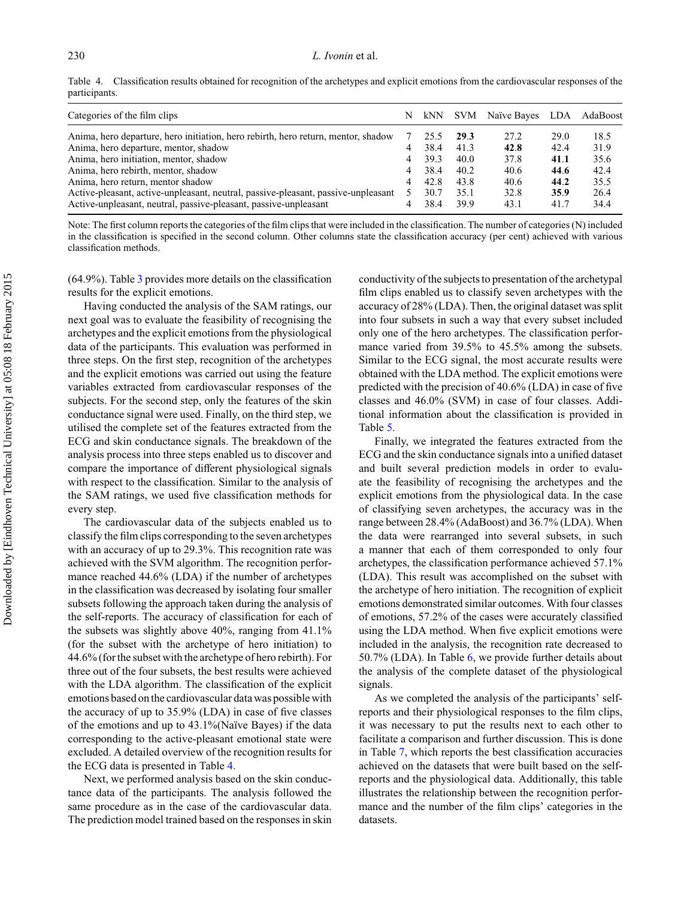<span id="page-11-0"></span>Table 4. Classification results obtained for recognition of the archetypes and explicit emotions from the cardiovascular responses of the participants.

| Categories of the film clips                                                      | N | kNN  |      | SVM Naïve Bayes LDA |      | AdaBoost |
|-----------------------------------------------------------------------------------|---|------|------|---------------------|------|----------|
| Anima, hero departure, hero initiation, hero rebirth, hero return, mentor, shadow |   | 25.5 | 29.3 | 27.2                | 29.0 | 18.5     |
| Anima, hero departure, mentor, shadow                                             |   | 38.4 | 41.3 | 42.8                | 42.4 | 31.9     |
| Anima, hero initiation, mentor, shadow                                            | 4 | 39.3 | 40.0 | 37.8                | 41.1 | 35.6     |
| Anima, hero rebirth, mentor, shadow                                               | 4 | 38.4 | 40.2 | 40.6                | 44.6 | 42.4     |
| Anima, hero return, mentor shadow                                                 | 4 | 42.8 | 43.8 | 40.6                | 44.2 | 35.5     |
| Active-pleasant, active-unpleasant, neutral, passive-pleasant, passive-unpleasant |   | 30.7 | 35.1 | 32.8                | 35.9 | 26.4     |
| Active-unpleasant, neutral, passive-pleasant, passive-unpleasant                  |   | 38.4 | 39.9 | 43.1                | 41.7 | 34.4     |

Note: The first column reports the categories of the film clips that were included in the classification. The number of categories (N) included in the classification is specified in the second column. Other columns state the classification accuracy (per cent) achieved with various classification methods.

(64.9%). Table [3](#page-10-0) provides more details on the classification results for the explicit emotions.

Having conducted the analysis of the SAM ratings, our next goal was to evaluate the feasibility of recognising the archetypes and the explicit emotions from the physiological data of the participants. This evaluation was performed in three steps. On the first step, recognition of the archetypes and the explicit emotions was carried out using the feature variables extracted from cardiovascular responses of the subjects. For the second step, only the features of the skin conductance signal were used. Finally, on the third step, we utilised the complete set of the features extracted from the ECG and skin conductance signals. The breakdown of the analysis process into three steps enabled us to discover and compare the importance of different physiological signals with respect to the classification. Similar to the analysis of the SAM ratings, we used five classification methods for every step.

The cardiovascular data of the subjects enabled us to classify the film clips corresponding to the seven archetypes with an accuracy of up to 29.3%. This recognition rate was achieved with the SVM algorithm. The recognition performance reached 44.6% (LDA) if the number of archetypes in the classification was decreased by isolating four smaller subsets following the approach taken during the analysis of the self-reports. The accuracy of classification for each of the subsets was slightly above 40%, ranging from 41.1% (for the subset with the archetype of hero initiation) to 44.6% (for the subset with the archetype of hero rebirth). For three out of the four subsets, the best results were achieved with the LDA algorithm. The classification of the explicit emotions based on the cardiovascular data was possible with the accuracy of up to 35.9% (LDA) in case of five classes of the emotions and up to 43.1%(Naïve Bayes) if the data corresponding to the active-pleasant emotional state were excluded. A detailed overview of the recognition results for the ECG data is presented in Table 4.

Next, we performed analysis based on the skin conductance data of the participants. The analysis followed the same procedure as in the case of the cardiovascular data. The prediction model trained based on the responses in skin

conductivity of the subjects to presentation of the archetypal film clips enabled us to classify seven archetypes with the accuracy of 28% (LDA). Then, the original dataset was split into four subsets in such a way that every subset included only one of the hero archetypes. The classification performance varied from 39.5% to 45.5% among the subsets. Similar to the ECG signal, the most accurate results were obtained with the LDA method. The explicit emotions were predicted with the precision of 40.6% (LDA) in case of five classes and 46.0% (SVM) in case of four classes. Additional information about the classification is provided in Table [5.](#page-12-0)

Finally, we integrated the features extracted from the ECG and the skin conductance signals into a unified dataset and built several prediction models in order to evaluate the feasibility of recognising the archetypes and the explicit emotions from the physiological data. In the case of classifying seven archetypes, the accuracy was in the range between 28.4% (AdaBoost) and 36.7% (LDA). When the data were rearranged into several subsets, in such a manner that each of them corresponded to only four archetypes, the classification performance achieved 57.1% (LDA). This result was accomplished on the subset with the archetype of hero initiation. The recognition of explicit emotions demonstrated similar outcomes. With four classes of emotions, 57.2% of the cases were accurately classified using the LDA method. When five explicit emotions were included in the analysis, the recognition rate decreased to 50.7% (LDA). In Table [6,](#page-12-0) we provide further details about the analysis of the complete dataset of the physiological signals.

As we completed the analysis of the participants' selfreports and their physiological responses to the film clips, it was necessary to put the results next to each other to facilitate a comparison and further discussion. This is done in Table [7,](#page-12-0) which reports the best classification accuracies achieved on the datasets that were built based on the selfreports and the physiological data. Additionally, this table illustrates the relationship between the recognition performance and the number of the film clips' categories in the datasets.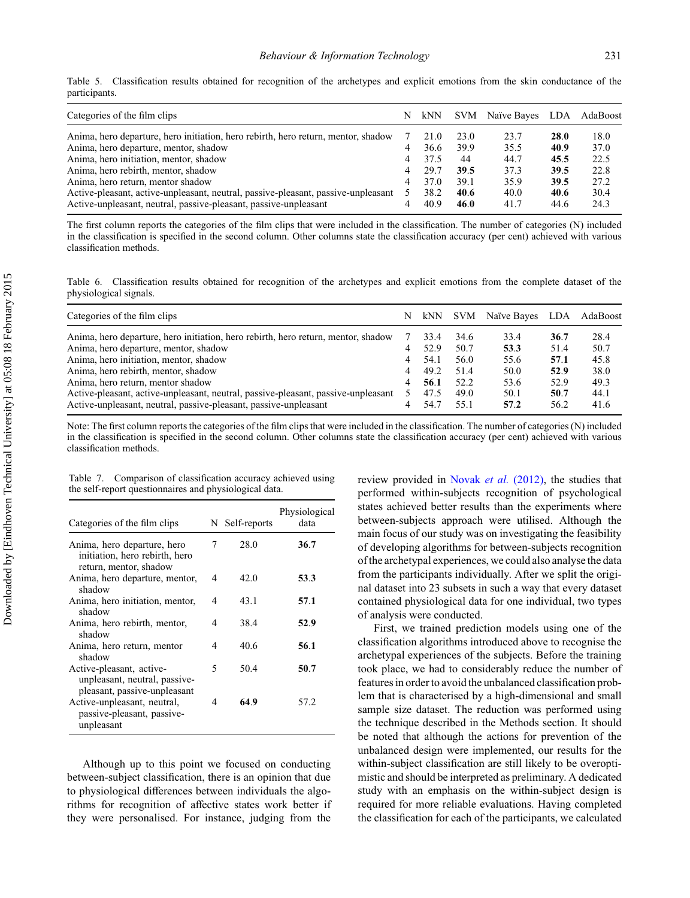<span id="page-12-0"></span>

|               | Table 5. Classification results obtained for recognition of the archetypes and explicit emotions from the skin conductance of the |  |  |  |  |  |  |  |  |
|---------------|-----------------------------------------------------------------------------------------------------------------------------------|--|--|--|--|--|--|--|--|
| participants. |                                                                                                                                   |  |  |  |  |  |  |  |  |

| Categories of the film clips                                                      |   | N kNN |      | SVM Naïve Bayes LDA AdaBoost |      |      |
|-----------------------------------------------------------------------------------|---|-------|------|------------------------------|------|------|
| Anima, hero departure, hero initiation, hero rebirth, hero return, mentor, shadow |   | 21.0  | 23.0 | 23.7                         | 28.0 | 18.0 |
| Anima, hero departure, mentor, shadow                                             |   | 36.6  | 39.9 | 35.5                         | 40.9 | 37.0 |
| Anima, hero initiation, mentor, shadow                                            | 4 | 37.5  | 44   | 44.7                         | 45.5 | 22.5 |
| Anima, hero rebirth, mentor, shadow                                               | 4 | 29.7  | 39.5 | 37.3                         | 39.5 | 22.8 |
| Anima, hero return, mentor shadow                                                 | 4 | 37.0  | 39.1 | 35.9                         | 39.5 | 27.2 |
| Active-pleasant, active-unpleasant, neutral, passive-pleasant, passive-unpleasant |   | 38.2  | 40.6 | 40.0                         | 40.6 | 30.4 |
| Active-unpleasant, neutral, passive-pleasant, passive-unpleasant                  |   | 40.9  | 46.0 | 41.7                         | 44.6 | 24.3 |

The first column reports the categories of the film clips that were included in the classification. The number of categories (N) included in the classification is specified in the second column. Other columns state the classification accuracy (per cent) achieved with various classification methods.

Table 6. Classification results obtained for recognition of the archetypes and explicit emotions from the complete dataset of the physiological signals.

| Categories of the film clips                                                      | N | kNN  | <b>SVM</b> | Naïve Bayes | LDA  | AdaBoost |
|-----------------------------------------------------------------------------------|---|------|------------|-------------|------|----------|
| Anima, hero departure, hero initiation, hero rebirth, hero return, mentor, shadow |   | 33.4 | 34.6       | 33.4        | 36.7 | 28.4     |
| Anima, hero departure, mentor, shadow                                             |   | 52.9 | 50.7       | 53.3        | 51.4 | 50.7     |
| Anima, hero initiation, mentor, shadow                                            | 4 | 54.1 | 56.0       | 55.6        | 57.1 | 45.8     |
| Anima, hero rebirth, mentor, shadow                                               |   | 49.2 | 51.4       | 50.0        | 52.9 | 38.0     |
| Anima, hero return, mentor shadow                                                 |   | 56.1 | 52.2       | 53.6        | 52.9 | 49.3     |
| Active-pleasant, active-unpleasant, neutral, passive-pleasant, passive-unpleasant |   | 47.5 | 49.0       | 50.1        | 50.7 | 44.1     |
| Active-unpleasant, neutral, passive-pleasant, passive-unpleasant                  |   | 54.7 | 55.1       | 57.2        | 56.2 | 41.6     |

Note: The first column reports the categories of the film clips that were included in the classification. The number of categories (N) included in the classification is specified in the second column. Other columns state the classification accuracy (per cent) achieved with various classification methods.

Table 7. Comparison of classification accuracy achieved using the self-report questionnaires and physiological data.

| Categories of the film clips                                                              |   | N Self-reports | Physiological<br>data |
|-------------------------------------------------------------------------------------------|---|----------------|-----------------------|
| Anima, hero departure, hero<br>initiation, hero rebirth, hero<br>return, mentor, shadow   | 7 | 28.0           | 36.7                  |
| Anima, hero departure, mentor,<br>shadow                                                  | 4 | 42.0           | 53.3                  |
| Anima, hero initiation, mentor,<br>shadow                                                 | 4 | 43.1           | 57.1                  |
| Anima, hero rebirth, mentor,<br>shadow                                                    | 4 | 38.4           | 52.9                  |
| Anima, hero return, mentor<br>shadow                                                      | 4 | 40.6           | 56.1                  |
| Active-pleasant, active-<br>unpleasant, neutral, passive-<br>pleasant, passive-unpleasant | 5 | 50.4           | 50.7                  |
| Active-unpleasant, neutral,<br>passive-pleasant, passive-<br>unpleasant                   | 4 | 64.9           | 57.2                  |

Although up to this point we focused on conducting between-subject classification, there is an opinion that due to physiological differences between individuals the algorithms for recognition of affective states work better if they were personalised. For instance, judging from the

review provided in Novak *et al.* [\(2012\),](#page-18-0) the studies that performed within-subjects recognition of psychological states achieved better results than the experiments where between-subjects approach were utilised. Although the main focus of our study was on investigating the feasibility of developing algorithms for between-subjects recognition of the archetypal experiences, we could also analyse the data from the participants individually. After we split the original dataset into 23 subsets in such a way that every dataset contained physiological data for one individual, two types of analysis were conducted.

First, we trained prediction models using one of the classification algorithms introduced above to recognise the archetypal experiences of the subjects. Before the training took place, we had to considerably reduce the number of features in order to avoid the unbalanced classification problem that is characterised by a high-dimensional and small sample size dataset. The reduction was performed using the technique described in the Methods section. It should be noted that although the actions for prevention of the unbalanced design were implemented, our results for the within-subject classification are still likely to be overoptimistic and should be interpreted as preliminary. A dedicated study with an emphasis on the within-subject design is required for more reliable evaluations. Having completed the classification for each of the participants, we calculated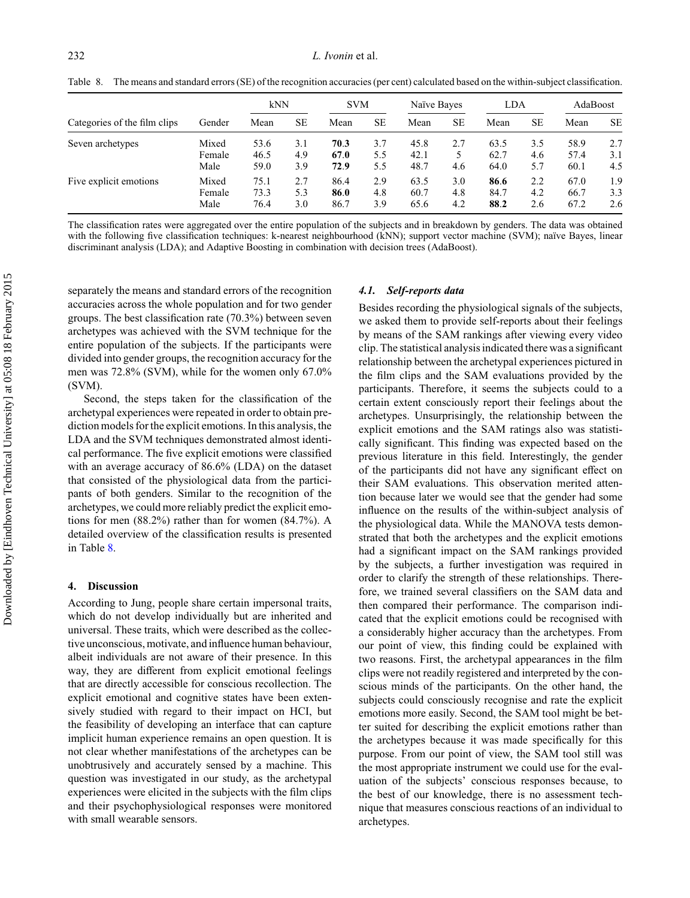<span id="page-13-0"></span>The means and standard errors (SE) of the recognition accuracies (per cent) calculated based on the within-subject classification.

|                              |                         | kNN                  |                   | <b>SVM</b>           |                   | Naïve Bayes          |                   | <b>LDA</b>           |                   | AdaBoost             |                   |
|------------------------------|-------------------------|----------------------|-------------------|----------------------|-------------------|----------------------|-------------------|----------------------|-------------------|----------------------|-------------------|
| Categories of the film clips | Gender                  | Mean                 | <b>SE</b>         | Mean                 | <b>SE</b>         | Mean                 | <b>SE</b>         | Mean                 | <b>SE</b>         | Mean                 | <b>SE</b>         |
| Seven archetypes             | Mixed<br>Female<br>Male | 53.6<br>46.5<br>59.0 | 3.1<br>4.9<br>3.9 | 70.3<br>67.0<br>72.9 | 3.7<br>5.5<br>5.5 | 45.8<br>42.1<br>48.7 | 2.7<br>4.6        | 63.5<br>62.7<br>64.0 | 3.5<br>4.6<br>5.7 | 58.9<br>57.4<br>60.1 | 2.7<br>3.1<br>4.5 |
| Five explicit emotions       | Mixed<br>Female<br>Male | 75.1<br>73.3<br>76.4 | 2.7<br>5.3<br>3.0 | 86.4<br>86.0<br>86.7 | 2.9<br>4.8<br>3.9 | 63.5<br>60.7<br>65.6 | 3.0<br>4.8<br>4.2 | 86.6<br>84.7<br>88.2 | 2.2<br>4.2<br>2.6 | 67.0<br>66.7<br>67.2 | 1.9<br>3.3<br>2.6 |

The classification rates were aggregated over the entire population of the subjects and in breakdown by genders. The data was obtained with the following five classification techniques: k-nearest neighbourhood (kNN); support vector machine (SVM); naïve Bayes, linear discriminant analysis (LDA); and Adaptive Boosting in combination with decision trees (AdaBoost).

separately the means and standard errors of the recognition accuracies across the whole population and for two gender groups. The best classification rate (70.3%) between seven archetypes was achieved with the SVM technique for the entire population of the subjects. If the participants were divided into gender groups, the recognition accuracy for the men was 72.8% (SVM), while for the women only 67.0% (SVM).

Second, the steps taken for the classification of the archetypal experiences were repeated in order to obtain prediction models for the explicit emotions. In this analysis, the LDA and the SVM techniques demonstrated almost identical performance. The five explicit emotions were classified with an average accuracy of 86.6% (LDA) on the dataset that consisted of the physiological data from the participants of both genders. Similar to the recognition of the archetypes, we could more reliably predict the explicit emotions for men (88.2%) rather than for women (84.7%). A detailed overview of the classification results is presented in Table 8.

### **4. Discussion**

According to Jung, people share certain impersonal traits, which do not develop individually but are inherited and universal. These traits, which were described as the collective unconscious, motivate, and influence human behaviour, albeit individuals are not aware of their presence. In this way, they are different from explicit emotional feelings that are directly accessible for conscious recollection. The explicit emotional and cognitive states have been extensively studied with regard to their impact on HCI, but the feasibility of developing an interface that can capture implicit human experience remains an open question. It is not clear whether manifestations of the archetypes can be unobtrusively and accurately sensed by a machine. This question was investigated in our study, as the archetypal experiences were elicited in the subjects with the film clips and their psychophysiological responses were monitored with small wearable sensors.

#### *4.1. Self-reports data*

Besides recording the physiological signals of the subjects, we asked them to provide self-reports about their feelings by means of the SAM rankings after viewing every video clip. The statistical analysis indicated there was a significant relationship between the archetypal experiences pictured in the film clips and the SAM evaluations provided by the participants. Therefore, it seems the subjects could to a certain extent consciously report their feelings about the archetypes. Unsurprisingly, the relationship between the explicit emotions and the SAM ratings also was statistically significant. This finding was expected based on the previous literature in this field. Interestingly, the gender of the participants did not have any significant effect on their SAM evaluations. This observation merited attention because later we would see that the gender had some influence on the results of the within-subject analysis of the physiological data. While the MANOVA tests demonstrated that both the archetypes and the explicit emotions had a significant impact on the SAM rankings provided by the subjects, a further investigation was required in order to clarify the strength of these relationships. Therefore, we trained several classifiers on the SAM data and then compared their performance. The comparison indicated that the explicit emotions could be recognised with a considerably higher accuracy than the archetypes. From our point of view, this finding could be explained with two reasons. First, the archetypal appearances in the film clips were not readily registered and interpreted by the conscious minds of the participants. On the other hand, the subjects could consciously recognise and rate the explicit emotions more easily. Second, the SAM tool might be better suited for describing the explicit emotions rather than the archetypes because it was made specifically for this purpose. From our point of view, the SAM tool still was the most appropriate instrument we could use for the evaluation of the subjects' conscious responses because, to the best of our knowledge, there is no assessment technique that measures conscious reactions of an individual to archetypes.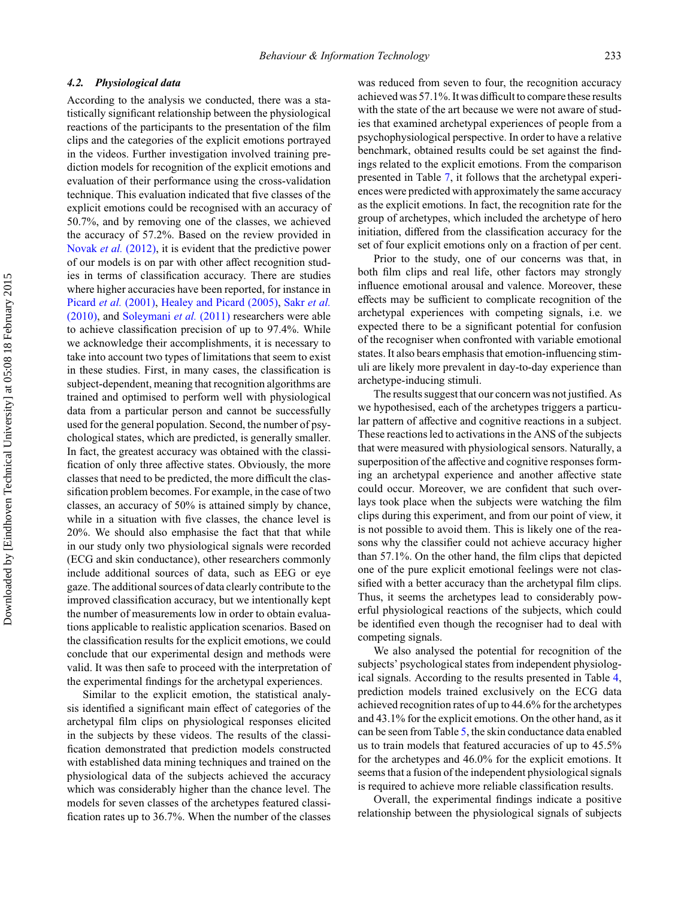#### *4.2. Physiological data*

According to the analysis we conducted, there was a statistically significant relationship between the physiological reactions of the participants to the presentation of the film clips and the categories of the explicit emotions portrayed in the videos. Further investigation involved training prediction models for recognition of the explicit emotions and evaluation of their performance using the cross-validation technique. This evaluation indicated that five classes of the explicit emotions could be recognised with an accuracy of 50.7%, and by removing one of the classes, we achieved the accuracy of 57.2%. Based on the review provided in Novak *et al.* [\(2012\),](#page-18-0) it is evident that the predictive power of our models is on par with other affect recognition studies in terms of classification accuracy. There are studies where higher accuracies have been reported, for instance in Picard *et al.* [\(2001\),](#page-18-0) [Healey and Picard \(2005\),](#page-17-0) Sakr *[et al.](#page-18-0)* [\(2010\),](#page-18-0) and [Soleymani](#page-18-0) *et al.* (2011) researchers were able to achieve classification precision of up to 97.4%. While we acknowledge their accomplishments, it is necessary to take into account two types of limitations that seem to exist in these studies. First, in many cases, the classification is subject-dependent, meaning that recognition algorithms are trained and optimised to perform well with physiological data from a particular person and cannot be successfully used for the general population. Second, the number of psychological states, which are predicted, is generally smaller. In fact, the greatest accuracy was obtained with the classification of only three affective states. Obviously, the more classes that need to be predicted, the more difficult the classification problem becomes. For example, in the case of two classes, an accuracy of 50% is attained simply by chance, while in a situation with five classes, the chance level is 20%. We should also emphasise the fact that that while in our study only two physiological signals were recorded (ECG and skin conductance), other researchers commonly include additional sources of data, such as EEG or eye gaze. The additional sources of data clearly contribute to the improved classification accuracy, but we intentionally kept the number of measurements low in order to obtain evaluations applicable to realistic application scenarios. Based on the classification results for the explicit emotions, we could conclude that our experimental design and methods were valid. It was then safe to proceed with the interpretation of the experimental findings for the archetypal experiences.

Similar to the explicit emotion, the statistical analysis identified a significant main effect of categories of the archetypal film clips on physiological responses elicited in the subjects by these videos. The results of the classification demonstrated that prediction models constructed with established data mining techniques and trained on the physiological data of the subjects achieved the accuracy which was considerably higher than the chance level. The models for seven classes of the archetypes featured classification rates up to 36.7%. When the number of the classes was reduced from seven to four, the recognition accuracy achieved was 57.1%. It was difficult to compare these results with the state of the art because we were not aware of studies that examined archetypal experiences of people from a psychophysiological perspective. In order to have a relative benchmark, obtained results could be set against the findings related to the explicit emotions. From the comparison presented in Table [7,](#page-12-0) it follows that the archetypal experiences were predicted with approximately the same accuracy as the explicit emotions. In fact, the recognition rate for the group of archetypes, which included the archetype of hero initiation, differed from the classification accuracy for the set of four explicit emotions only on a fraction of per cent.

Prior to the study, one of our concerns was that, in both film clips and real life, other factors may strongly influence emotional arousal and valence. Moreover, these effects may be sufficient to complicate recognition of the archetypal experiences with competing signals, i.e. we expected there to be a significant potential for confusion of the recogniser when confronted with variable emotional states. It also bears emphasis that emotion-influencing stimuli are likely more prevalent in day-to-day experience than archetype-inducing stimuli.

The results suggest that our concern was not justified. As we hypothesised, each of the archetypes triggers a particular pattern of affective and cognitive reactions in a subject. These reactions led to activations in the ANS of the subjects that were measured with physiological sensors. Naturally, a superposition of the affective and cognitive responses forming an archetypal experience and another affective state could occur. Moreover, we are confident that such overlays took place when the subjects were watching the film clips during this experiment, and from our point of view, it is not possible to avoid them. This is likely one of the reasons why the classifier could not achieve accuracy higher than 57.1%. On the other hand, the film clips that depicted one of the pure explicit emotional feelings were not classified with a better accuracy than the archetypal film clips. Thus, it seems the archetypes lead to considerably powerful physiological reactions of the subjects, which could be identified even though the recogniser had to deal with competing signals.

We also analysed the potential for recognition of the subjects' psychological states from independent physiological signals. According to the results presented in Table [4,](#page-11-0) prediction models trained exclusively on the ECG data achieved recognition rates of up to 44.6% for the archetypes and 43.1% for the explicit emotions. On the other hand, as it can be seen from Table [5,](#page-12-0) the skin conductance data enabled us to train models that featured accuracies of up to 45.5% for the archetypes and 46.0% for the explicit emotions. It seems that a fusion of the independent physiological signals is required to achieve more reliable classification results.

Overall, the experimental findings indicate a positive relationship between the physiological signals of subjects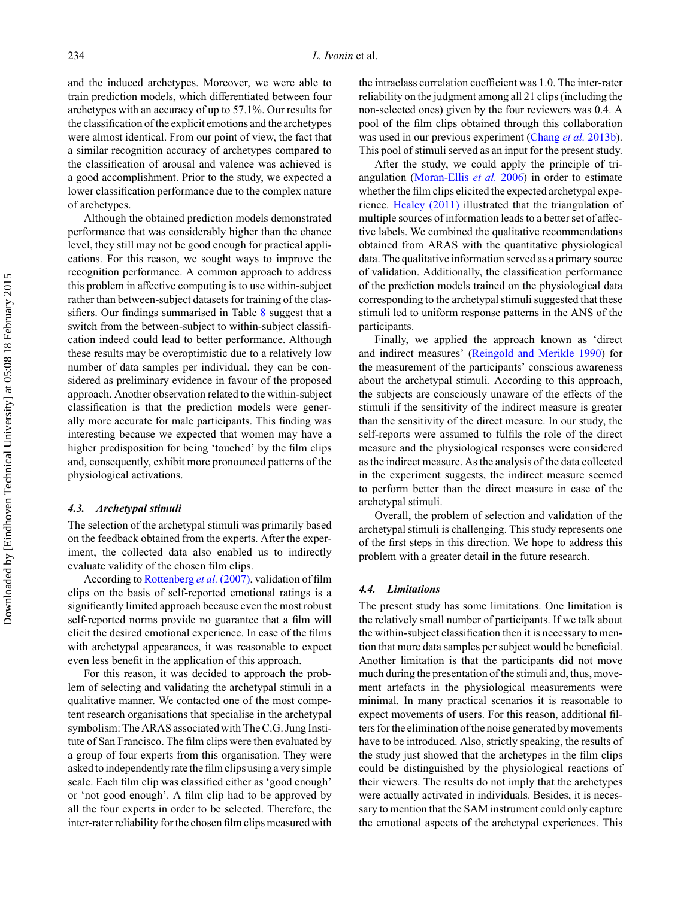and the induced archetypes. Moreover, we were able to train prediction models, which differentiated between four archetypes with an accuracy of up to 57.1%. Our results for the classification of the explicit emotions and the archetypes were almost identical. From our point of view, the fact that a similar recognition accuracy of archetypes compared to the classification of arousal and valence was achieved is a good accomplishment. Prior to the study, we expected a lower classification performance due to the complex nature of archetypes.

Although the obtained prediction models demonstrated performance that was considerably higher than the chance level, they still may not be good enough for practical applications. For this reason, we sought ways to improve the recognition performance. A common approach to address this problem in affective computing is to use within-subject rather than between-subject datasets for training of the classifiers. Our findings summarised in Table [8](#page-13-0) suggest that a switch from the between-subject to within-subject classification indeed could lead to better performance. Although these results may be overoptimistic due to a relatively low number of data samples per individual, they can be considered as preliminary evidence in favour of the proposed approach. Another observation related to the within-subject classification is that the prediction models were generally more accurate for male participants. This finding was interesting because we expected that women may have a higher predisposition for being 'touched' by the film clips and, consequently, exhibit more pronounced patterns of the physiological activations.

#### *4.3. Archetypal stimuli*

The selection of the archetypal stimuli was primarily based on the feedback obtained from the experts. After the experiment, the collected data also enabled us to indirectly evaluate validity of the chosen film clips.

According to [Rottenberg](#page-18-0) *et al.* (2007), validation of film clips on the basis of self-reported emotional ratings is a significantly limited approach because even the most robust self-reported norms provide no guarantee that a film will elicit the desired emotional experience. In case of the films with archetypal appearances, it was reasonable to expect even less benefit in the application of this approach.

For this reason, it was decided to approach the problem of selecting and validating the archetypal stimuli in a qualitative manner. We contacted one of the most competent research organisations that specialise in the archetypal symbolism: The ARAS associated with The C.G. Jung Institute of San Francisco. The film clips were then evaluated by a group of four experts from this organisation. They were asked to independently rate the film clips using a very simple scale. Each film clip was classified either as 'good enough' or 'not good enough'. A film clip had to be approved by all the four experts in order to be selected. Therefore, the inter-rater reliability for the chosen film clips measured with

the intraclass correlation coefficient was 1.0. The inter-rater reliability on the judgment among all 21 clips (including the non-selected ones) given by the four reviewers was 0.4. A pool of the film clips obtained through this collaboration was used in our previous experiment [\(Chang](#page-17-0) *et al.* 2013b). This pool of stimuli served as an input for the present study.

After the study, we could apply the principle of triangulation [\(Moran-Ellis](#page-18-0) *et al.* 2006) in order to estimate whether the film clips elicited the expected archetypal experience. [Healey \(2011\)](#page-17-0) illustrated that the triangulation of multiple sources of information leads to a better set of affective labels. We combined the qualitative recommendations obtained from ARAS with the quantitative physiological data. The qualitative information served as a primary source of validation. Additionally, the classification performance of the prediction models trained on the physiological data corresponding to the archetypal stimuli suggested that these stimuli led to uniform response patterns in the ANS of the participants.

Finally, we applied the approach known as 'direct and indirect measures' [\(Reingold and Merikle 1990\)](#page-18-0) for the measurement of the participants' conscious awareness about the archetypal stimuli. According to this approach, the subjects are consciously unaware of the effects of the stimuli if the sensitivity of the indirect measure is greater than the sensitivity of the direct measure. In our study, the self-reports were assumed to fulfils the role of the direct measure and the physiological responses were considered as the indirect measure. As the analysis of the data collected in the experiment suggests, the indirect measure seemed to perform better than the direct measure in case of the archetypal stimuli.

Overall, the problem of selection and validation of the archetypal stimuli is challenging. This study represents one of the first steps in this direction. We hope to address this problem with a greater detail in the future research.

## *4.4. Limitations*

The present study has some limitations. One limitation is the relatively small number of participants. If we talk about the within-subject classification then it is necessary to mention that more data samples per subject would be beneficial. Another limitation is that the participants did not move much during the presentation of the stimuli and, thus, movement artefacts in the physiological measurements were minimal. In many practical scenarios it is reasonable to expect movements of users. For this reason, additional filters for the elimination of the noise generated by movements have to be introduced. Also, strictly speaking, the results of the study just showed that the archetypes in the film clips could be distinguished by the physiological reactions of their viewers. The results do not imply that the archetypes were actually activated in individuals. Besides, it is necessary to mention that the SAM instrument could only capture the emotional aspects of the archetypal experiences. This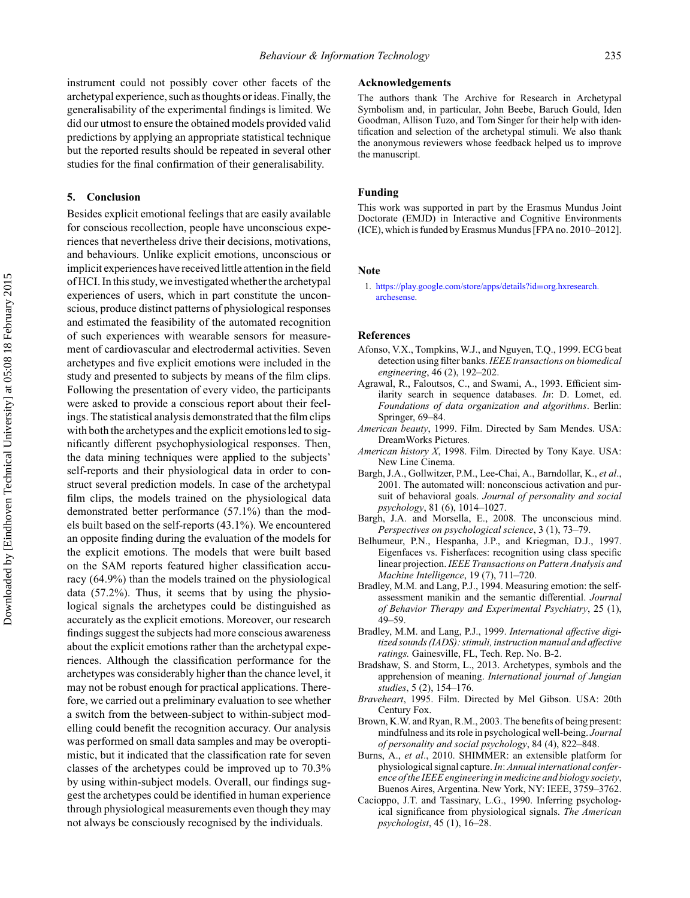<span id="page-16-0"></span>instrument could not possibly cover other facets of the archetypal experience, such as thoughts or ideas. Finally, the generalisability of the experimental findings is limited. We did our utmost to ensure the obtained models provided valid predictions by applying an appropriate statistical technique but the reported results should be repeated in several other studies for the final confirmation of their generalisability.

#### **5. Conclusion**

Besides explicit emotional feelings that are easily available for conscious recollection, people have unconscious experiences that nevertheless drive their decisions, motivations, and behaviours. Unlike explicit emotions, unconscious or implicit experiences have received little attention in the field of HCI. In this study, we investigated whether the archetypal experiences of users, which in part constitute the unconscious, produce distinct patterns of physiological responses and estimated the feasibility of the automated recognition of such experiences with wearable sensors for measurement of cardiovascular and electrodermal activities. Seven archetypes and five explicit emotions were included in the study and presented to subjects by means of the film clips. Following the presentation of every video, the participants were asked to provide a conscious report about their feelings. The statistical analysis demonstrated that the film clips with both the archetypes and the explicit emotions led to significantly different psychophysiological responses. Then, the data mining techniques were applied to the subjects' self-reports and their physiological data in order to construct several prediction models. In case of the archetypal film clips, the models trained on the physiological data demonstrated better performance (57.1%) than the models built based on the self-reports (43.1%). We encountered an opposite finding during the evaluation of the models for the explicit emotions. The models that were built based on the SAM reports featured higher classification accuracy (64.9%) than the models trained on the physiological data (57.2%). Thus, it seems that by using the physiological signals the archetypes could be distinguished as accurately as the explicit emotions. Moreover, our research findings suggest the subjects had more conscious awareness about the explicit emotions rather than the archetypal experiences. Although the classification performance for the archetypes was considerably higher than the chance level, it may not be robust enough for practical applications. Therefore, we carried out a preliminary evaluation to see whether a switch from the between-subject to within-subject modelling could benefit the recognition accuracy. Our analysis was performed on small data samples and may be overoptimistic, but it indicated that the classification rate for seven classes of the archetypes could be improved up to 70.3% by using within-subject models. Overall, our findings suggest the archetypes could be identified in human experience through physiological measurements even though they may not always be consciously recognised by the individuals.

#### **Acknowledgements**

The authors thank The Archive for Research in Archetypal Symbolism and, in particular, John Beebe, Baruch Gould, Iden Goodman, Allison Tuzo, and Tom Singer for their help with identification and selection of the archetypal stimuli. We also thank the anonymous reviewers whose feedback helped us to improve the manuscript.

#### **Funding**

This work was supported in part by the Erasmus Mundus Joint Doctorate (EMJD) in Interactive and Cognitive Environments (ICE), which is funded by Erasmus Mundus [FPA no. 2010–2012].

#### **Note**

1. [https://play.google.com/store/apps/details?id](https://play.google.com/store/apps/details?id=org.hxresearch.archesense)=org.hxresearch. [archesense.](https://play.google.com/store/apps/details?id=org.hxresearch.archesense)

#### **References**

- Afonso, V.X., Tompkins, W.J., and Nguyen, T.Q., 1999. ECG beat detection using filter banks.*IEEE transactions on biomedical engineering*, 46 (2), 192–202.
- Agrawal, R., Faloutsos, C., and Swami, A., 1993. Efficient similarity search in sequence databases. *In*: D. Lomet, ed. *Foundations of data organization and algorithms*. Berlin: Springer, 69–84.
- *American beauty*, 1999. Film. Directed by Sam Mendes. USA: DreamWorks Pictures.
- *American history X*, 1998. Film. Directed by Tony Kaye. USA: New Line Cinema.
- Bargh, J.A., Gollwitzer, P.M., Lee-Chai, A., Barndollar, K., *et al*., 2001. The automated will: nonconscious activation and pursuit of behavioral goals. *Journal of personality and social psychology*, 81 (6), 1014–1027.
- Bargh, J.A. and Morsella, E., 2008. The unconscious mind. *Perspectives on psychological science*, 3 (1), 73–79.
- Belhumeur, P.N., Hespanha, J.P., and Kriegman, D.J., 1997. Eigenfaces vs. Fisherfaces: recognition using class specific linear projection.*IEEE Transactions on Pattern Analysis and Machine Intelligence*, 19 (7), 711–720.
- Bradley, M.M. and Lang, P.J., 1994. Measuring emotion: the selfassessment manikin and the semantic differential. *Journal of Behavior Therapy and Experimental Psychiatry*, 25 (1), 49–59.
- Bradley, M.M. and Lang, P.J., 1999. *International affective digitized sounds (IADS): stimuli, instruction manual and affective ratings.* Gainesville, FL, Tech. Rep. No. B-2.
- Bradshaw, S. and Storm, L., 2013. Archetypes, symbols and the apprehension of meaning. *International journal of Jungian studies*, 5 (2), 154–176.
- *Braveheart*, 1995. Film. Directed by Mel Gibson. USA: 20th Century Fox.
- Brown, K.W. and Ryan, R.M., 2003. The benefits of being present: mindfulness and its role in psychological well-being. *Journal of personality and social psychology*, 84 (4), 822–848.
- Burns, A., *et al*., 2010. SHIMMER: an extensible platform for physiological signal capture.*In*: *Annual international conference of the IEEE engineering in medicine and biology society*, Buenos Aires, Argentina. New York, NY: IEEE, 3759–3762.
- Cacioppo, J.T. and Tassinary, L.G., 1990. Inferring psychological significance from physiological signals. *The American psychologist*, 45 (1), 16–28.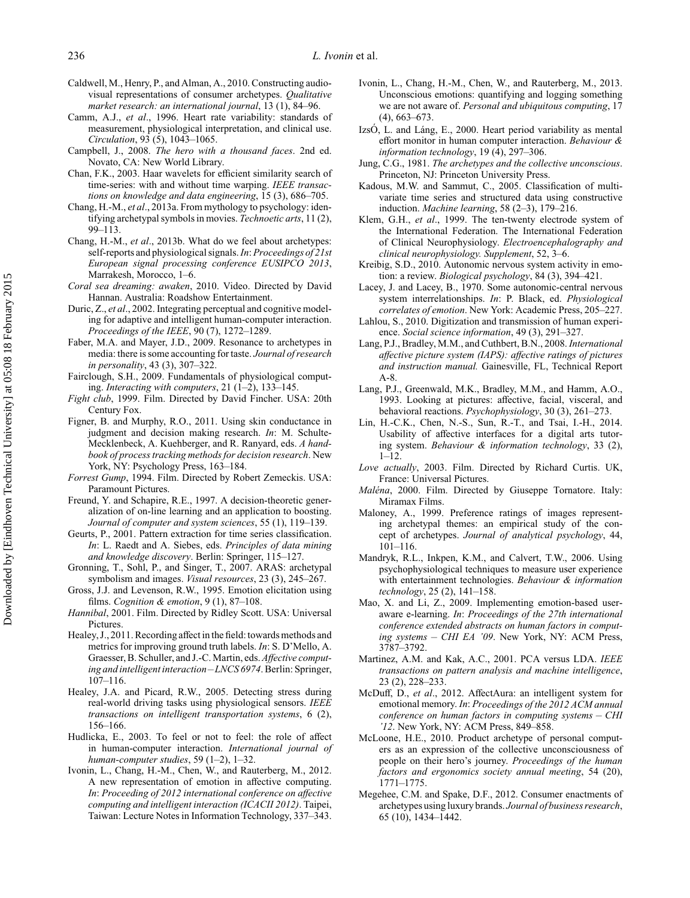- <span id="page-17-0"></span>Caldwell, M., Henry, P., and Alman, A., 2010. Constructing audiovisual representations of consumer archetypes. *Qualitative market research: an international journal*, 13 (1), 84–96.
- Camm, A.J., *et al*., 1996. Heart rate variability: standards of measurement, physiological interpretation, and clinical use. *Circulation*, 93 (5), 1043–1065.
- Campbell, J., 2008. *The hero with a thousand faces*. 2nd ed. Novato, CA: New World Library.
- Chan, F.K., 2003. Haar wavelets for efficient similarity search of time-series: with and without time warping. *IEEE transactions on knowledge and data engineering*, 15 (3), 686–705.
- Chang, H.-M., *et al*., 2013a. From mythology to psychology: identifying archetypal symbols in movies. *Technoetic arts*, 11 (2), 99–113.
- Chang, H.-M., *et al*., 2013b. What do we feel about archetypes: self-reports and physiological signals.*In*:*Proceedings of 21st European signal processing conference EUSIPCO 2013*, Marrakesh, Morocco, 1–6.
- *Coral sea dreaming: awaken*, 2010. Video. Directed by David Hannan. Australia: Roadshow Entertainment.
- Duric, Z., *et al*., 2002. Integrating perceptual and cognitive modeling for adaptive and intelligent human-computer interaction. *Proceedings of the IEEE*, 90 (7), 1272–1289.
- Faber, M.A. and Mayer, J.D., 2009. Resonance to archetypes in media: there is some accounting for taste. *Journal of research in personality*, 43 (3), 307–322.
- Fairclough, S.H., 2009. Fundamentals of physiological computing. *Interacting with computers*, 21 (1–2), 133–145.
- *Fight club*, 1999. Film. Directed by David Fincher. USA: 20th Century Fox.
- Figner, B. and Murphy, R.O., 2011. Using skin conductance in judgment and decision making research. *In*: M. Schulte-Mecklenbeck, A. Kuehberger, and R. Ranyard, eds. *A handbook of process tracking methods for decision research*. New York, NY: Psychology Press, 163–184.
- *Forrest Gump*, 1994. Film. Directed by Robert Zemeckis. USA: Paramount Pictures.
- Freund, Y. and Schapire, R.E., 1997. A decision-theoretic generalization of on-line learning and an application to boosting. *Journal of computer and system sciences*, 55 (1), 119–139.
- Geurts, P., 2001. Pattern extraction for time series classification. *In*: L. Raedt and A. Siebes, eds. *Principles of data mining and knowledge discovery*. Berlin: Springer, 115–127.
- Gronning, T., Sohl, P., and Singer, T., 2007. ARAS: archetypal symbolism and images. *Visual resources*, 23 (3), 245–267.
- Gross, J.J. and Levenson, R.W., 1995. Emotion elicitation using films. *Cognition & emotion*, 9 (1), 87–108.
- *Hannibal*, 2001. Film. Directed by Ridley Scott. USA: Universal Pictures.
- Healey, J., 2011. Recording affect in the field: towards methods and metrics for improving ground truth labels. *In*: S. D'Mello, A. Graesser, B. Schuller, and J.-C. Martin, eds.*Affective computing and intelligent interaction – LNCS 6974*. Berlin: Springer, 107–116.
- Healey, J.A. and Picard, R.W., 2005. Detecting stress during real-world driving tasks using physiological sensors. *IEEE transactions on intelligent transportation systems*, 6 (2), 156–166.
- Hudlicka, E., 2003. To feel or not to feel: the role of affect in human-computer interaction. *International journal of human-computer studies*, 59 (1–2), 1–32.
- Ivonin, L., Chang, H.-M., Chen, W., and Rauterberg, M., 2012. A new representation of emotion in affective computing. *In*: *Proceeding of 2012 international conference on affective computing and intelligent interaction (ICACII 2012)*. Taipei, Taiwan: Lecture Notes in Information Technology, 337–343.
- Ivonin, L., Chang, H.-M., Chen, W., and Rauterberg, M., 2013. Unconscious emotions: quantifying and logging something we are not aware of. *Personal and ubiquitous computing*, 17 (4), 663–673.
- IzsÓ, L. and Láng, E., 2000. Heart period variability as mental effort monitor in human computer interaction. *Behaviour & information technology*, 19 (4), 297–306.
- Jung, C.G., 1981. *The archetypes and the collective unconscious*. Princeton, NJ: Princeton University Press.
- Kadous, M.W. and Sammut, C., 2005. Classification of multivariate time series and structured data using constructive induction. *Machine learning*, 58 (2–3), 179–216.
- Klem, G.H., *et al*., 1999. The ten-twenty electrode system of the International Federation. The International Federation of Clinical Neurophysiology. *Electroencephalography and clinical neurophysiology. Supplement*, 52, 3–6.
- Kreibig, S.D., 2010. Autonomic nervous system activity in emotion: a review. *Biological psychology*, 84 (3), 394–421.
- Lacey, J. and Lacey, B., 1970. Some autonomic-central nervous system interrelationships. *In*: P. Black, ed. *Physiological correlates of emotion*. New York: Academic Press, 205–227.
- Lahlou, S., 2010. Digitization and transmission of human experience. *Social science information*, 49 (3), 291–327.
- Lang, P.J., Bradley, M.M., and Cuthbert, B.N., 2008.*International affective picture system (IAPS): affective ratings of pictures and instruction manual.* Gainesville, FL, Technical Report A-8.
- Lang, P.J., Greenwald, M.K., Bradley, M.M., and Hamm, A.O., 1993. Looking at pictures: affective, facial, visceral, and behavioral reactions. *Psychophysiology*, 30 (3), 261–273.
- Lin, H.-C.K., Chen, N.-S., Sun, R.-T., and Tsai, I.-H., 2014. Usability of affective interfaces for a digital arts tutoring system. *Behaviour & information technology*, 33 (2),  $1 - 12$ .
- *Love actually*, 2003. Film. Directed by Richard Curtis. UK, France: Universal Pictures.
- *Maléna*, 2000. Film. Directed by Giuseppe Tornatore. Italy: Miramax Films.
- Maloney, A., 1999. Preference ratings of images representing archetypal themes: an empirical study of the concept of archetypes. *Journal of analytical psychology*, 44, 101–116.
- Mandryk, R.L., Inkpen, K.M., and Calvert, T.W., 2006. Using psychophysiological techniques to measure user experience with entertainment technologies. *Behaviour & information technology*, 25 (2), 141–158.
- Mao, X. and Li, Z., 2009. Implementing emotion-based useraware e-learning. *In*: *Proceedings of the 27th international conference extended abstracts on human factors in computing systems – CHI EA '09*. New York, NY: ACM Press, 3787–3792.
- Martinez, A.M. and Kak, A.C., 2001. PCA versus LDA. *IEEE transactions on pattern analysis and machine intelligence*, 23 (2), 228–233.
- McDuff, D., *et al*., 2012. AffectAura: an intelligent system for emotional memory. *In*: *Proceedings of the 2012 ACM annual conference on human factors in computing systems – CHI '12*. New York, NY: ACM Press, 849–858.
- McLoone, H.E., 2010. Product archetype of personal computers as an expression of the collective unconsciousness of people on their hero's journey. *Proceedings of the human factors and ergonomics society annual meeting*, 54 (20), 1771–1775.
- Megehee, C.M. and Spake, D.F., 2012. Consumer enactments of archetypes using luxury brands. *Journal of business research*, 65 (10), 1434–1442.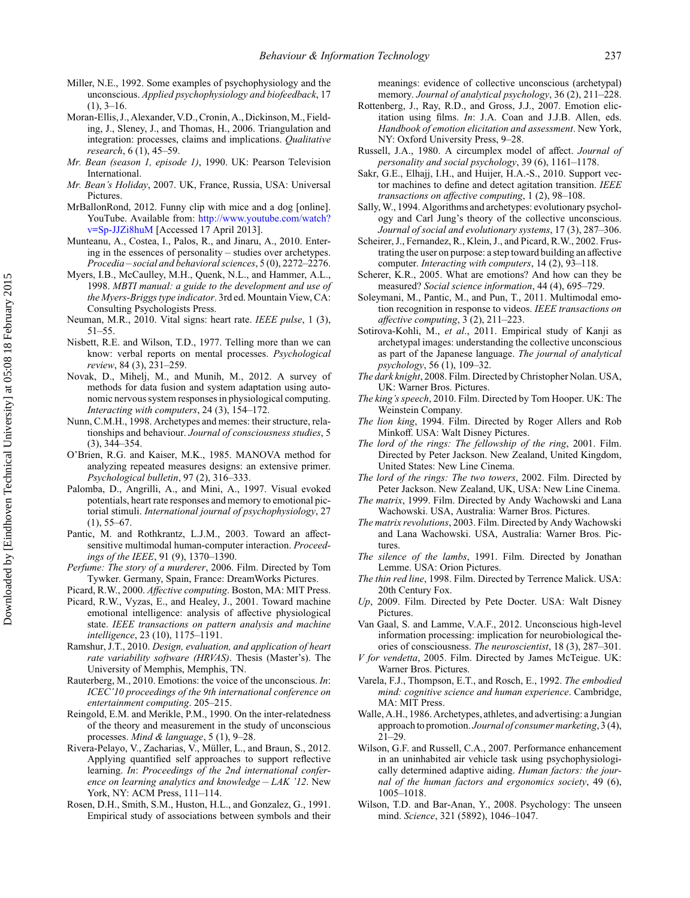- <span id="page-18-0"></span>Miller, N.E., 1992. Some examples of psychophysiology and the unconscious. *Applied psychophysiology and biofeedback*, 17  $(1), 3-16.$
- Moran-Ellis, J., Alexander, V.D., Cronin, A., Dickinson, M., Fielding, J., Sleney, J., and Thomas, H., 2006. Triangulation and integration: processes, claims and implications. *Qualitative research*, 6 (1), 45–59.
- *Mr. Bean (season 1, episode 1)*, 1990. UK: Pearson Television International.
- *Mr. Bean's Holiday*, 2007. UK, France, Russia, USA: Universal Pictures.
- MrBallonRond, 2012. Funny clip with mice and a dog [online]. YouTube. Available from: [http://www.youtube.com/watch?](http://www.youtube.com/watch?v=Sp-JJZi8huM) [v=Sp-JJZi8huM](http://www.youtube.com/watch?v=Sp-JJZi8huM) [Accessed 17 April 2013].
- Munteanu, A., Costea, I., Palos, R., and Jinaru, A., 2010. Entering in the essences of personality – studies over archetypes. *Procedia – social and behavioral sciences*, 5 (0), 2272–2276.
- Myers, I.B., McCaulley, M.H., Quenk, N.L., and Hammer, A.L., 1998. *MBTI manual: a guide to the development and use of the Myers-Briggs type indicator*. 3rd ed. Mountain View, CA: Consulting Psychologists Press.
- Neuman, M.R., 2010. Vital signs: heart rate. *IEEE pulse*, 1 (3), 51–55.
- Nisbett, R.E. and Wilson, T.D., 1977. Telling more than we can know: verbal reports on mental processes. *Psychological review*, 84 (3), 231–259.
- Novak, D., Mihelj, M., and Munih, M., 2012. A survey of methods for data fusion and system adaptation using autonomic nervous system responses in physiological computing. *Interacting with computers*, 24 (3), 154–172.
- Nunn, C.M.H., 1998. Archetypes and memes: their structure, relationships and behaviour. *Journal of consciousness studies*, 5 (3), 344–354.
- O'Brien, R.G. and Kaiser, M.K., 1985. MANOVA method for analyzing repeated measures designs: an extensive primer. *Psychological bulletin*, 97 (2), 316–333.
- Palomba, D., Angrilli, A., and Mini, A., 1997. Visual evoked potentials, heart rate responses and memory to emotional pictorial stimuli. *International journal of psychophysiology*, 27  $(1), 55-67.$
- Pantic, M. and Rothkrantz, L.J.M., 2003. Toward an affectsensitive multimodal human-computer interaction. *Proceedings of the IEEE*, 91 (9), 1370–1390.
- *Perfume: The story of a murderer*, 2006. Film. Directed by Tom Tywker. Germany, Spain, France: DreamWorks Pictures.
- Picard, R.W., 2000. *Affective computing*. Boston, MA: MIT Press.
- Picard, R.W., Vyzas, E., and Healey, J., 2001. Toward machine emotional intelligence: analysis of affective physiological state. *IEEE transactions on pattern analysis and machine intelligence*, 23 (10), 1175–1191.
- Ramshur, J.T., 2010. *Design, evaluation, and application of heart rate variability software (HRVAS)*. Thesis (Master's). The University of Memphis, Memphis, TN.
- Rauterberg, M., 2010. Emotions: the voice of the unconscious. *In*: *ICEC'10 proceedings of the 9th international conference on entertainment computing*. 205–215.
- Reingold, E.M. and Merikle, P.M., 1990. On the inter-relatedness of the theory and measurement in the study of unconscious processes. *Mind & language*, 5 (1), 9–28.
- Rivera-Pelayo, V., Zacharias, V., Müller, L., and Braun, S., 2012. Applying quantified self approaches to support reflective learning. *In*: *Proceedings of the 2nd international conference on learning analytics and knowledge – LAK '12*. New York, NY: ACM Press, 111–114.
- Rosen, D.H., Smith, S.M., Huston, H.L., and Gonzalez, G., 1991. Empirical study of associations between symbols and their

meanings: evidence of collective unconscious (archetypal) memory. *Journal of analytical psychology*, 36 (2), 211–228.

- Rottenberg, J., Ray, R.D., and Gross, J.J., 2007. Emotion elicitation using films. *In*: J.A. Coan and J.J.B. Allen, eds. *Handbook of emotion elicitation and assessment*. New York, NY: Oxford University Press, 9–28.
- Russell, J.A., 1980. A circumplex model of affect. *Journal of personality and social psychology*, 39 (6), 1161–1178.
- Sakr, G.E., Elhajj, I.H., and Huijer, H.A.-S., 2010. Support vector machines to define and detect agitation transition. *IEEE transactions on affective computing*, 1 (2), 98–108.
- Sally, W., 1994. Algorithms and archetypes: evolutionary psychology and Carl Jung's theory of the collective unconscious. *Journal of social and evolutionary systems*, 17 (3), 287–306.
- Scheirer, J., Fernandez, R., Klein, J., and Picard, R.W., 2002. Frustrating the user on purpose: a step toward building an affective computer. *Interacting with computers*, 14 (2), 93–118.
- Scherer, K.R., 2005. What are emotions? And how can they be measured? *Social science information*, 44 (4), 695–729.
- Soleymani, M., Pantic, M., and Pun, T., 2011. Multimodal emotion recognition in response to videos. *IEEE transactions on affective computing*, 3 (2), 211–223.
- Sotirova-Kohli, M., *et al*., 2011. Empirical study of Kanji as archetypal images: understanding the collective unconscious as part of the Japanese language. *The journal of analytical psychology*, 56 (1), 109–32.
- *The dark knight*, 2008. Film. Directed by Christopher Nolan. USA, UK: Warner Bros. Pictures.
- *The king's speech*, 2010. Film. Directed by Tom Hooper. UK: The Weinstein Company.
- *The lion king*, 1994. Film. Directed by Roger Allers and Rob Minkoff. USA: Walt Disney Pictures.
- *The lord of the rings: The fellowship of the ring*, 2001. Film. Directed by Peter Jackson. New Zealand, United Kingdom, United States: New Line Cinema.
- *The lord of the rings: The two towers*, 2002. Film. Directed by Peter Jackson. New Zealand, UK, USA: New Line Cinema.
- *The matrix*, 1999. Film. Directed by Andy Wachowski and Lana Wachowski. USA, Australia: Warner Bros. Pictures.
- *The matrix revolutions*, 2003. Film. Directed by Andy Wachowski and Lana Wachowski. USA, Australia: Warner Bros. Pictures.
- *The silence of the lambs*, 1991. Film. Directed by Jonathan Lemme. USA: Orion Pictures.
- *The thin red line*, 1998. Film. Directed by Terrence Malick. USA: 20th Century Fox.
- *Up*, 2009. Film. Directed by Pete Docter. USA: Walt Disney Pictures.
- Van Gaal, S. and Lamme, V.A.F., 2012. Unconscious high-level information processing: implication for neurobiological theories of consciousness. *The neuroscientist*, 18 (3), 287–301.
- *V for vendetta*, 2005. Film. Directed by James McTeigue. UK: Warner Bros. Pictures.
- Varela, F.J., Thompson, E.T., and Rosch, E., 1992. *The embodied mind: cognitive science and human experience*. Cambridge, MA: MIT Press.
- Walle, A.H., 1986. Archetypes, athletes, and advertising: a Jungian approach to promotion. *Journal of consumer marketing*, 3 (4), 21–29.
- Wilson, G.F. and Russell, C.A., 2007. Performance enhancement in an uninhabited air vehicle task using psychophysiologically determined adaptive aiding. *Human factors: the journal of the human factors and ergonomics society*, 49 (6), 1005–1018.
- Wilson, T.D. and Bar-Anan, Y., 2008. Psychology: The unseen mind. *Science*, 321 (5892), 1046–1047.